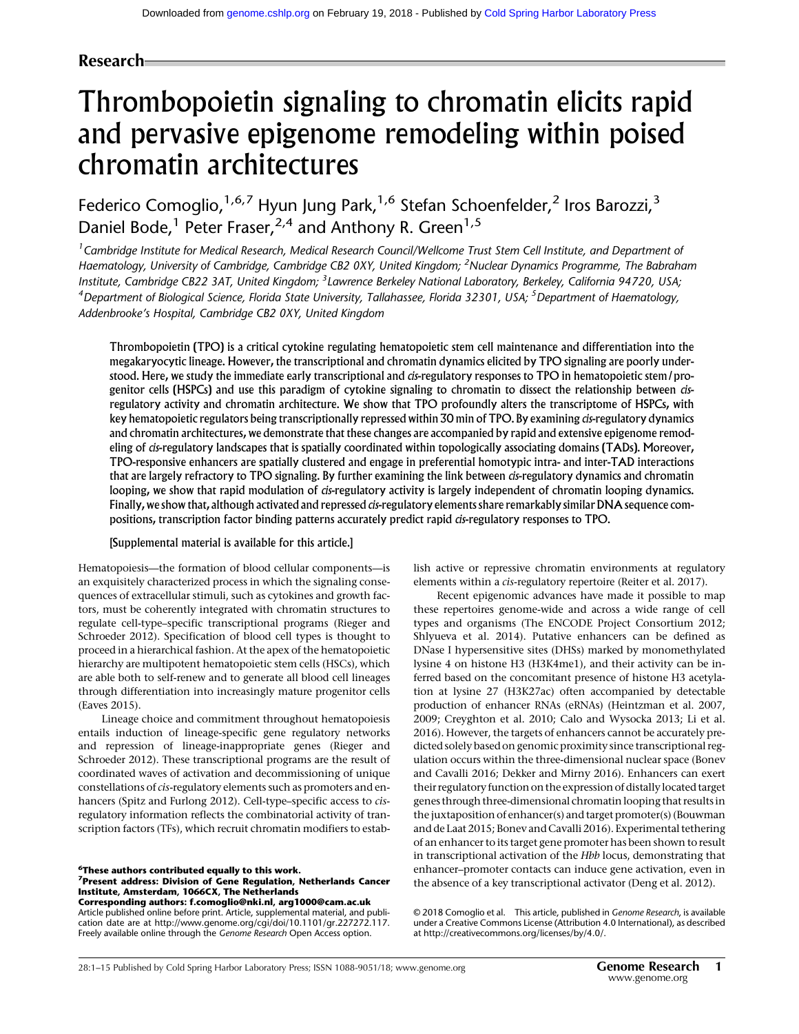# Research

# Thrombopoietin signaling to chromatin elicits rapid and pervasive epigenome remodeling within poised chromatin architectures

Federico Comoglio,<sup>1,6,7</sup> Hyun Jung Park,<sup>1,6</sup> Stefan Schoenfelder,<sup>2</sup> Iros Barozzi,<sup>3</sup> Daniel Bode,<sup>1</sup> Peter Fraser,<sup>2,4</sup> and Anthony R. Green<sup>1,5</sup>

<sup>1</sup> Cambridge Institute for Medical Research, Medical Research Council/Wellcome Trust Stem Cell Institute, and Department of Haematology, University of Cambridge, Cambridge CB2 0XY, United Kingdom; <sup>2</sup>Nuclear Dynamics Programme, The Babraham Institute, Cambridge CB22 3AT, United Kingdom; <sup>3</sup> Lawrence Berkeley National Laboratory, Berkeley, California 94720, USA; <sup>4</sup>Department of Biological Science, Florida State University, Tallahassee, Florida 32301, USA; <sup>5</sup>Department of Haematology, Addenbrooke's Hospital, Cambridge CB2 0XY, United Kingdom

Thrombopoietin (TPO) is a critical cytokine regulating hematopoietic stem cell maintenance and differentiation into the megakaryocytic lineage. However, the transcriptional and chromatin dynamics elicited by TPO signaling are poorly understood. Here, we study the immediate early transcriptional and cis-regulatory responses to TPO in hematopoietic stem/progenitor cells (HSPCs) and use this paradigm of cytokine signaling to chromatin to dissect the relationship between cisregulatory activity and chromatin architecture. We show that TPO profoundly alters the transcriptome of HSPCs, with key hematopoietic regulators being transcriptionally repressed within 30 min of TPO. By examining *cis*-regulatory dynamics and chromatin architectures, we demonstrate that these changes are accompanied by rapid and extensive epigenome remodeling of cis-regulatory landscapes that is spatially coordinated within topologically associating domains (TADs). Moreover, TPO-responsive enhancers are spatially clustered and engage in preferential homotypic intra- and inter-TAD interactions that are largely refractory to TPO signaling. By further examining the link between cis-regulatory dynamics and chromatin looping, we show that rapid modulation of cis-regulatory activity is largely independent of chromatin looping dynamics. Finally, we show that, although activated and repressed cis-regulatory elements share remarkably similar DNA sequence compositions, transcription factor binding patterns accurately predict rapid cis-regulatory responses to TPO.

#### [Supplemental material is available for this article.]

Hematopoiesis—the formation of blood cellular components—is an exquisitely characterized process in which the signaling consequences of extracellular stimuli, such as cytokines and growth factors, must be coherently integrated with chromatin structures to regulate cell-type–specific transcriptional programs (Rieger and Schroeder 2012). Specification of blood cell types is thought to proceed in a hierarchical fashion. At the apex of the hematopoietic hierarchy are multipotent hematopoietic stem cells (HSCs), which are able both to self-renew and to generate all blood cell lineages through differentiation into increasingly mature progenitor cells (Eaves 2015).

Lineage choice and commitment throughout hematopoiesis entails induction of lineage-specific gene regulatory networks and repression of lineage-inappropriate genes (Rieger and Schroeder 2012). These transcriptional programs are the result of coordinated waves of activation and decommissioning of unique constellations of cis-regulatory elements such as promoters and enhancers (Spitz and Furlong 2012). Cell-type–specific access to cisregulatory information reflects the combinatorial activity of transcription factors (TFs), which recruit chromatin modifiers to estab-

 $\frac{6}{3}$ These authors contributed equally to this work. <sup>7</sup> Present address: Division of Gene Regulation, Netherlands Cancer

Institute, Amsterdam, 1066CX, The Netherlands Corresponding authors: [f.comoglio@nki.nl](mailto:f.comoglio@nki.nl), [arg1000@cam.ac.uk](mailto:arg1000@cam.ac.uk)

Article published online before print. Article, supplemental material, and publication date are at [http://www.genome.org/cgi/doi/10.1101/gr.227272.117.](http://www.genome.org/cgi/doi/10.1101/gr.227272.117) Freely available online through the Genome Research Open Access option.

lish active or repressive chromatin environments at regulatory elements within a cis-regulatory repertoire (Reiter et al. 2017).

Recent epigenomic advances have made it possible to map these repertoires genome-wide and across a wide range of cell types and organisms (The ENCODE Project Consortium 2012; Shlyueva et al. 2014). Putative enhancers can be defined as DNase I hypersensitive sites (DHSs) marked by monomethylated lysine 4 on histone H3 (H3K4me1), and their activity can be inferred based on the concomitant presence of histone H3 acetylation at lysine 27 (H3K27ac) often accompanied by detectable production of enhancer RNAs (eRNAs) (Heintzman et al. 2007, 2009; Creyghton et al. 2010; Calo and Wysocka 2013; Li et al. 2016). However, the targets of enhancers cannot be accurately predicted solely based on genomic proximity since transcriptional regulation occurs within the three-dimensional nuclear space (Bonev and Cavalli 2016; Dekker and Mirny 2016). Enhancers can exert their regulatory function on the expression of distally located target genes through three-dimensional chromatin looping that results in the juxtaposition of enhancer(s) and target promoter(s) (Bouwman and de Laat 2015; Bonev and Cavalli 2016). Experimental tethering of an enhancer to its target gene promoter has been shown to result in transcriptional activation of the Hbb locus, demonstrating that enhancer–promoter contacts can induce gene activation, even in the absence of a key transcriptional activator (Deng et al. 2012).

[© 2018 Comoglio et al.](http://genome.cshlp.org/site/misc/terms.xhtml) This article, published in Genome Research, is available under a Creative Commons License (Attribution 4.0 International), as described at [http://creativecommons.org/licenses/by/4.0/.](http://creativecommons.org/licenses/by/4.0/)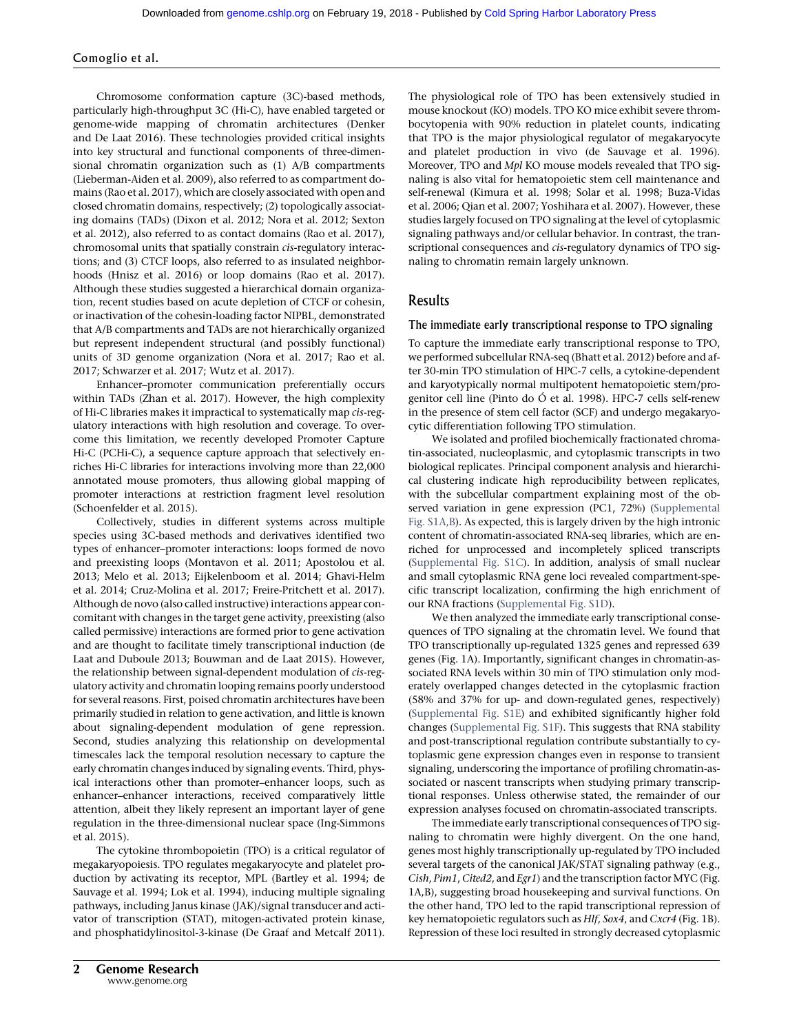Chromosome conformation capture (3C)-based methods, particularly high-throughput 3C (Hi-C), have enabled targeted or genome-wide mapping of chromatin architectures (Denker and De Laat 2016). These technologies provided critical insights into key structural and functional components of three-dimensional chromatin organization such as (1) A/B compartments (Lieberman-Aiden et al. 2009), also referred to as compartment domains (Rao et al. 2017), which are closely associated with open and closed chromatin domains, respectively; (2) topologically associating domains (TADs) (Dixon et al. 2012; Nora et al. 2012; Sexton et al. 2012), also referred to as contact domains (Rao et al. 2017), chromosomal units that spatially constrain cis-regulatory interactions; and (3) CTCF loops, also referred to as insulated neighborhoods (Hnisz et al. 2016) or loop domains (Rao et al. 2017). Although these studies suggested a hierarchical domain organization, recent studies based on acute depletion of CTCF or cohesin, or inactivation of the cohesin-loading factor NIPBL, demonstrated that A/B compartments and TADs are not hierarchically organized but represent independent structural (and possibly functional) units of 3D genome organization (Nora et al. 2017; Rao et al. 2017; Schwarzer et al. 2017; Wutz et al. 2017).

Enhancer–promoter communication preferentially occurs within TADs (Zhan et al. 2017). However, the high complexity of Hi-C libraries makes it impractical to systematically map cis-regulatory interactions with high resolution and coverage. To overcome this limitation, we recently developed Promoter Capture Hi-C (PCHi-C), a sequence capture approach that selectively enriches Hi-C libraries for interactions involving more than 22,000 annotated mouse promoters, thus allowing global mapping of promoter interactions at restriction fragment level resolution (Schoenfelder et al. 2015).

Collectively, studies in different systems across multiple species using 3C-based methods and derivatives identified two types of enhancer–promoter interactions: loops formed de novo and preexisting loops (Montavon et al. 2011; Apostolou et al. 2013; Melo et al. 2013; Eijkelenboom et al. 2014; Ghavi-Helm et al. 2014; Cruz-Molina et al. 2017; Freire-Pritchett et al. 2017). Although de novo (also called instructive) interactions appear concomitant with changes in the target gene activity, preexisting (also called permissive) interactions are formed prior to gene activation and are thought to facilitate timely transcriptional induction (de Laat and Duboule 2013; Bouwman and de Laat 2015). However, the relationship between signal-dependent modulation of cis-regulatory activity and chromatin looping remains poorly understood for several reasons. First, poised chromatin architectures have been primarily studied in relation to gene activation, and little is known about signaling-dependent modulation of gene repression. Second, studies analyzing this relationship on developmental timescales lack the temporal resolution necessary to capture the early chromatin changes induced by signaling events. Third, physical interactions other than promoter–enhancer loops, such as enhancer–enhancer interactions, received comparatively little attention, albeit they likely represent an important layer of gene regulation in the three-dimensional nuclear space (Ing-Simmons et al. 2015).

The cytokine thrombopoietin (TPO) is a critical regulator of megakaryopoiesis. TPO regulates megakaryocyte and platelet production by activating its receptor, MPL (Bartley et al. 1994; de Sauvage et al. 1994; Lok et al. 1994), inducing multiple signaling pathways, including Janus kinase (JAK)/signal transducer and activator of transcription (STAT), mitogen-activated protein kinase, and phosphatidylinositol-3-kinase (De Graaf and Metcalf 2011).

The physiological role of TPO has been extensively studied in mouse knockout (KO) models. TPO KO mice exhibit severe thrombocytopenia with 90% reduction in platelet counts, indicating that TPO is the major physiological regulator of megakaryocyte and platelet production in vivo (de Sauvage et al. 1996). Moreover, TPO and Mpl KO mouse models revealed that TPO signaling is also vital for hematopoietic stem cell maintenance and self-renewal (Kimura et al. 1998; Solar et al. 1998; Buza-Vidas et al. 2006; Qian et al. 2007; Yoshihara et al. 2007). However, these studies largely focused on TPO signaling at the level of cytoplasmic signaling pathways and/or cellular behavior. In contrast, the transcriptional consequences and cis-regulatory dynamics of TPO signaling to chromatin remain largely unknown.

# Results

#### The immediate early transcriptional response to TPO signaling

To capture the immediate early transcriptional response to TPO, we performed subcellular RNA-seq (Bhatt et al. 2012) before and after 30-min TPO stimulation of HPC-7 cells, a cytokine-dependent and karyotypically normal multipotent hematopoietic stem/progenitor cell line (Pinto do Ó et al. 1998). HPC-7 cells self-renew in the presence of stem cell factor (SCF) and undergo megakaryocytic differentiation following TPO stimulation.

We isolated and profiled biochemically fractionated chromatin-associated, nucleoplasmic, and cytoplasmic transcripts in two biological replicates. Principal component analysis and hierarchical clustering indicate high reproducibility between replicates, with the subcellular compartment explaining most of the observed variation in gene expression (PC1, 72%) [\(Supplemental](http://genome.cshlp.org/lookup/suppl/doi:10.1101/gr.227272.117/-/DC1) [Fig. S1A,B](http://genome.cshlp.org/lookup/suppl/doi:10.1101/gr.227272.117/-/DC1)). As expected, this is largely driven by the high intronic content of chromatin-associated RNA-seq libraries, which are enriched for unprocessed and incompletely spliced transcripts ([Supplemental Fig. S1C](http://genome.cshlp.org/lookup/suppl/doi:10.1101/gr.227272.117/-/DC1)). In addition, analysis of small nuclear and small cytoplasmic RNA gene loci revealed compartment-specific transcript localization, confirming the high enrichment of our RNA fractions [\(Supplemental Fig. S1D](http://genome.cshlp.org/lookup/suppl/doi:10.1101/gr.227272.117/-/DC1)).

We then analyzed the immediate early transcriptional consequences of TPO signaling at the chromatin level. We found that TPO transcriptionally up-regulated 1325 genes and repressed 639 genes (Fig. 1A). Importantly, significant changes in chromatin-associated RNA levels within 30 min of TPO stimulation only moderately overlapped changes detected in the cytoplasmic fraction (58% and 37% for up- and down-regulated genes, respectively) ([Supplemental Fig. S1E](http://genome.cshlp.org/lookup/suppl/doi:10.1101/gr.227272.117/-/DC1)) and exhibited significantly higher fold changes ([Supplemental Fig. S1F\)](http://genome.cshlp.org/lookup/suppl/doi:10.1101/gr.227272.117/-/DC1). This suggests that RNA stability and post-transcriptional regulation contribute substantially to cytoplasmic gene expression changes even in response to transient signaling, underscoring the importance of profiling chromatin-associated or nascent transcripts when studying primary transcriptional responses. Unless otherwise stated, the remainder of our expression analyses focused on chromatin-associated transcripts.

The immediate early transcriptional consequences of TPO signaling to chromatin were highly divergent. On the one hand, genes most highly transcriptionally up-regulated by TPO included several targets of the canonical JAK/STAT signaling pathway (e.g., Cish, Pim1, Cited2, and Egr1) and the transcription factor MYC (Fig. 1A,B), suggesting broad housekeeping and survival functions. On the other hand, TPO led to the rapid transcriptional repression of key hematopoietic regulators such as Hlf, Sox4, and Cxcr4 (Fig. 1B). Repression of these loci resulted in strongly decreased cytoplasmic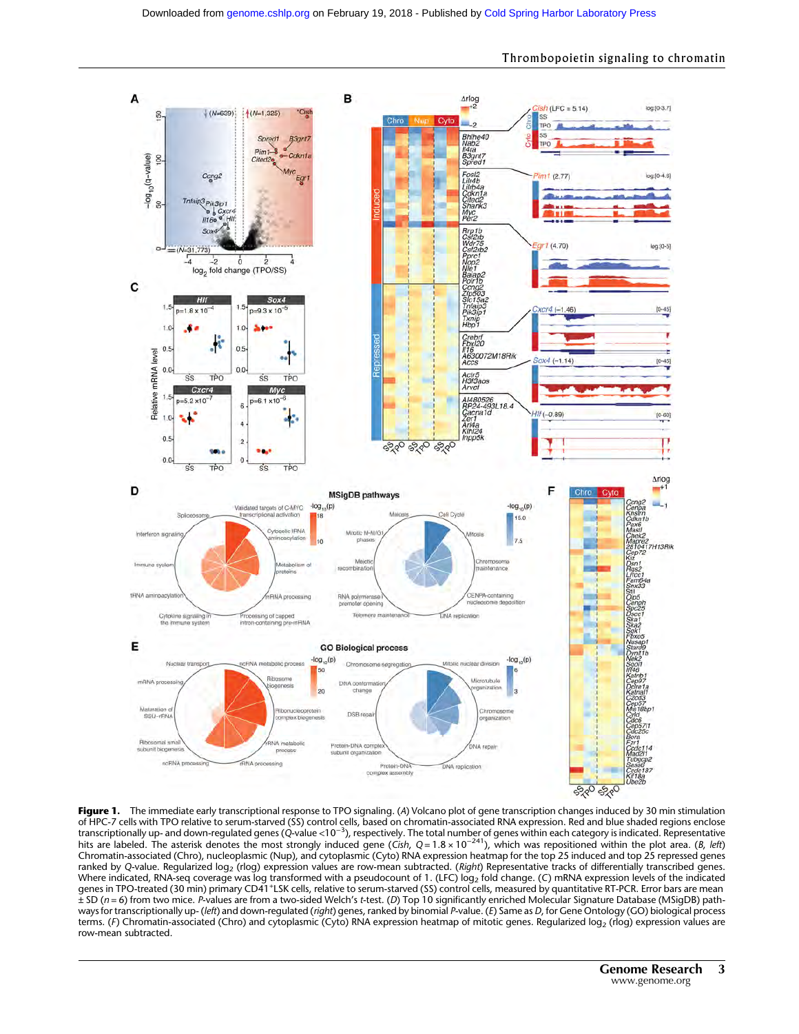

Thrombopoietin signaling to chromatin

Figure 1. The immediate early transcriptional response to TPO signaling. (A) Volcano plot of gene transcription changes induced by 30 min stimulation of HPC-7 cells with TPO relative to serum-starved (SS) control cells, based on chromatin-associated RNA expression. Red and blue shaded regions enclose<br>transcriptionally up- and down-regulated genes (Q-value <10<sup>–3</sup>), resp Chromatin-associated (Chro), nucleoplasmic (Nup), and cytoplasmic (Cyto) RNA expression heatmap for the top 25 induced and top 25 repressed genes ranked by Q-value. Regularized log2 (rlog) expression values are row-mean subtracted. (Right) Representative tracks of differentially transcribed genes. Where indicated, RNA-seq coverage was log transformed with a pseudocount of 1. (LFC) log<sub>2</sub> fold change. (C) mRNA expression levels of the indicated genes in TPO-treated (30 min) primary CD41+LSK cells, relative to serum-starved (SS) control cells, measured by quantitative RT-PCR. Error bars are mean  $\pm$  SD (n = 6) from two mice. P-values are from a two-sided Welch's t-test. (D) Top 10 significantly enriched Molecular Signature Database (MSigDB) pathways for transcriptionally up- (*left*) and down-regulated (*right*) genes, ranked by binomial P-value. (E) Same as D, for Gene Ontology (GO) biological process terms. (F) Chromatin-associated (Chro) and cytoplasmic (Cyto) RNA expression heatmap of mitotic genes. Regularized log<sub>2</sub> (rlog) expression values are row-mean subtracted.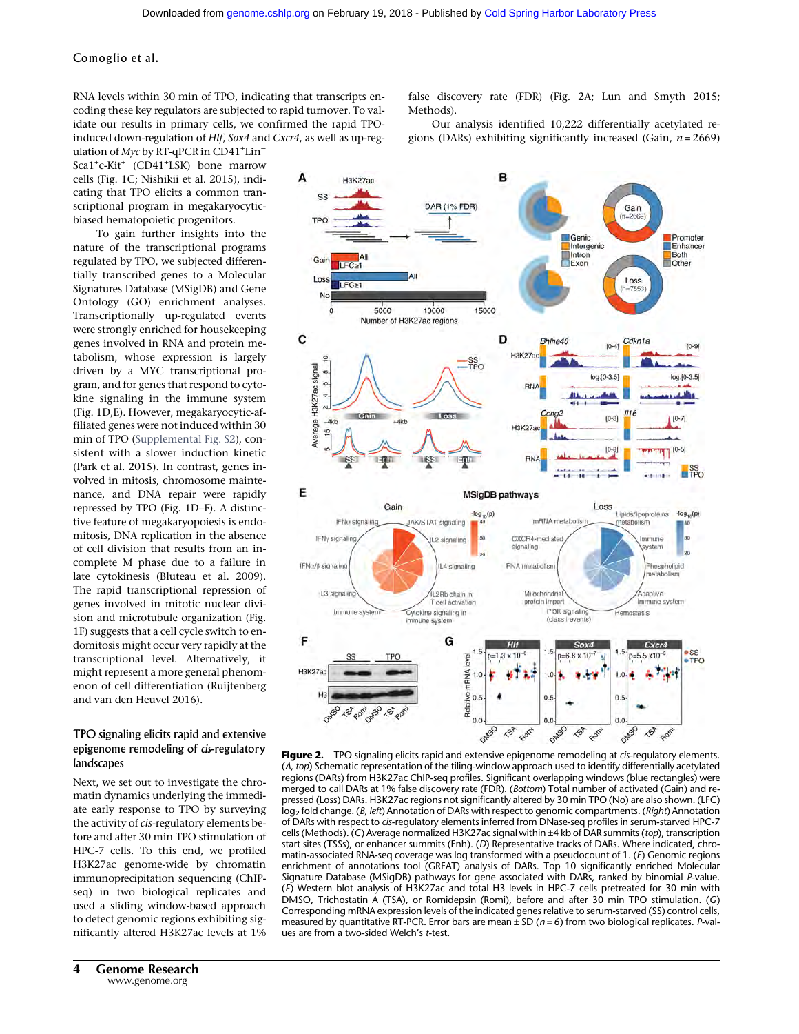RNA levels within 30 min of TPO, indicating that transcripts encoding these key regulators are subjected to rapid turnover. To validate our results in primary cells, we confirmed the rapid TPOinduced down-regulation of Hlf, Sox4 and Cxcr4, as well as up-reg-

ulation of Myc by RT-qPCR in CD41<sup>+</sup>Lin<sup>-</sup> Sca1+ c-Kit+ (CD41+ LSK) bone marrow cells (Fig. 1C; Nishikii et al. 2015), indicating that TPO elicits a common transcriptional program in megakaryocyticbiased hematopoietic progenitors.

To gain further insights into the nature of the transcriptional programs regulated by TPO, we subjected differentially transcribed genes to a Molecular Signatures Database (MSigDB) and Gene Ontology (GO) enrichment analyses. Transcriptionally up-regulated events were strongly enriched for housekeeping genes involved in RNA and protein metabolism, whose expression is largely driven by a MYC transcriptional program, and for genes that respond to cytokine signaling in the immune system (Fig. 1D,E). However, megakaryocytic-affiliated genes were not induced within 30 min of TPO ([Supplemental Fig. S2](http://genome.cshlp.org/lookup/suppl/doi:10.1101/gr.227272.117/-/DC1)), consistent with a slower induction kinetic (Park et al. 2015). In contrast, genes involved in mitosis, chromosome maintenance, and DNA repair were rapidly repressed by TPO (Fig. 1D–F). A distinctive feature of megakaryopoiesis is endomitosis, DNA replication in the absence of cell division that results from an incomplete M phase due to a failure in late cytokinesis (Bluteau et al. 2009). The rapid transcriptional repression of genes involved in mitotic nuclear division and microtubule organization (Fig. 1F) suggests that a cell cycle switch to endomitosis might occur very rapidly at the transcriptional level. Alternatively, it might represent a more general phenomenon of cell differentiation (Ruijtenberg and van den Heuvel 2016).

#### TPO signaling elicits rapid and extensive epigenome remodeling of cis-regulatory landscapes

Next, we set out to investigate the chromatin dynamics underlying the immediate early response to TPO by surveying the activity of cis-regulatory elements before and after 30 min TPO stimulation of HPC-7 cells. To this end, we profiled H3K27ac genome-wide by chromatin immunoprecipitation sequencing (ChIPseq) in two biological replicates and used a sliding window-based approach to detect genomic regions exhibiting significantly altered H3K27ac levels at 1% false discovery rate (FDR) (Fig. 2A; Lun and Smyth 2015; Methods).

Our analysis identified 10,222 differentially acetylated regions (DARs) exhibiting significantly increased (Gain,  $n = 2669$ )



Figure 2. TPO signaling elicits rapid and extensive epigenome remodeling at cis-regulatory elements. (A, top) Schematic representation of the tiling-window approach used to identify differentially acetylated regions (DARs) from H3K27ac ChIP-seq profiles. Significant overlapping windows (blue rectangles) were merged to call DARs at 1% false discovery rate (FDR). (Bottom) Total number of activated (Gain) and repressed (Loss) DARs. H3K27ac regions not significantly altered by 30 min TPO (No) are also shown. (LFC) log<sub>2</sub> fold change. (B, left) Annotation of DARs with respect to genomic compartments. (Right) Annotation of DARs with respect to cis-regulatory elements inferred from DNase-seq profiles in serum-starved HPC-7 cells (Methods). (C) Average normalized H3K27ac signal within ±4 kb of DAR summits (top), transcription start sites (TSSs), or enhancer summits (Enh). (D) Representative tracks of DARs. Where indicated, chromatin-associated RNA-seq coverage was log transformed with a pseudocount of 1. (E) Genomic regions enrichment of annotations tool (GREAT) analysis of DARs. Top 10 significantly enriched Molecular Signature Database (MSigDB) pathways for gene associated with DARs, ranked by binomial P-value. (F) Western blot analysis of H3K27ac and total H3 levels in HPC-7 cells pretreated for 30 min with DMSO, Trichostatin A (TSA), or Romidepsin (Romi), before and after 30 min TPO stimulation. (G) Corresponding mRNA expression levels of the indicated genes relative to serum-starved (SS) control cells, measured by quantitative RT-PCR. Error bars are mean  $\pm$  SD ( $n = 6$ ) from two biological replicates. P-values are from a two-sided Welch's t-test.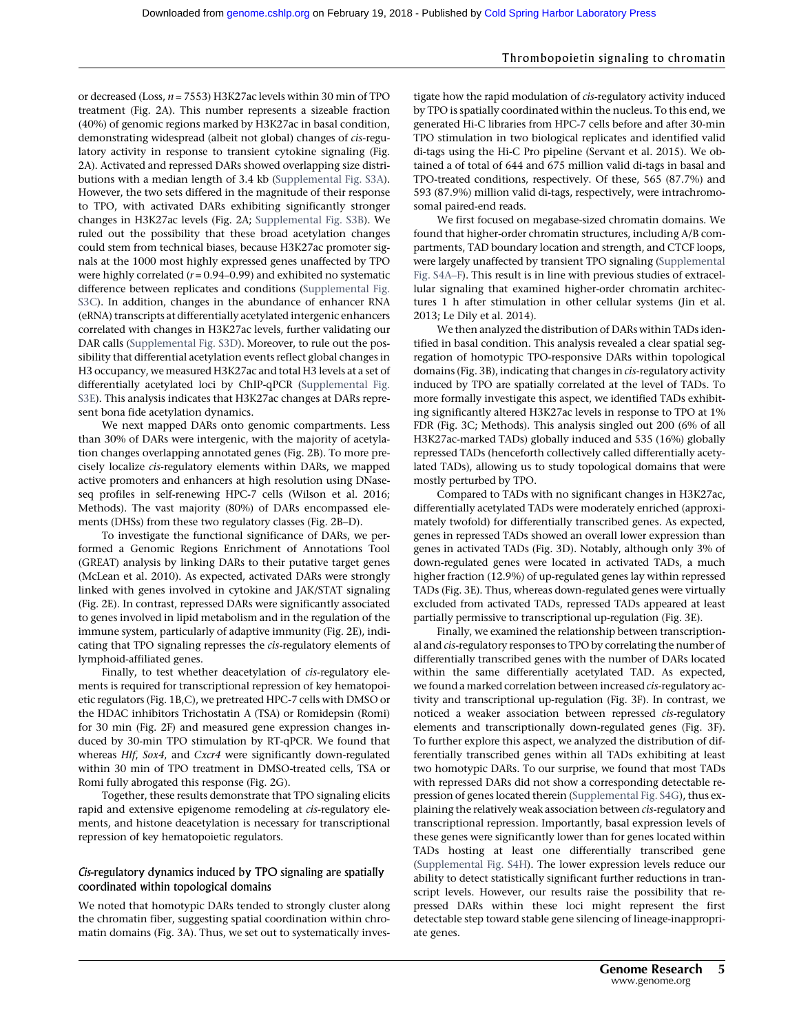or decreased (Loss,  $n = 7553$ ) H3K27ac levels within 30 min of TPO treatment (Fig. 2A). This number represents a sizeable fraction (40%) of genomic regions marked by H3K27ac in basal condition, demonstrating widespread (albeit not global) changes of cis-regulatory activity in response to transient cytokine signaling (Fig. 2A). Activated and repressed DARs showed overlapping size distributions with a median length of 3.4 kb [\(Supplemental Fig. S3A](http://genome.cshlp.org/lookup/suppl/doi:10.1101/gr.227272.117/-/DC1)). However, the two sets differed in the magnitude of their response to TPO, with activated DARs exhibiting significantly stronger changes in H3K27ac levels (Fig. 2A; [Supplemental Fig. S3B\)](http://genome.cshlp.org/lookup/suppl/doi:10.1101/gr.227272.117/-/DC1). We ruled out the possibility that these broad acetylation changes could stem from technical biases, because H3K27ac promoter signals at the 1000 most highly expressed genes unaffected by TPO were highly correlated  $(r = 0.94 - 0.99)$  and exhibited no systematic difference between replicates and conditions [\(Supplemental Fig.](http://genome.cshlp.org/lookup/suppl/doi:10.1101/gr.227272.117/-/DC1) [S3C](http://genome.cshlp.org/lookup/suppl/doi:10.1101/gr.227272.117/-/DC1)). In addition, changes in the abundance of enhancer RNA (eRNA) transcripts at differentially acetylated intergenic enhancers correlated with changes in H3K27ac levels, further validating our DAR calls ([Supplemental Fig. S3D](http://genome.cshlp.org/lookup/suppl/doi:10.1101/gr.227272.117/-/DC1)). Moreover, to rule out the possibility that differential acetylation events reflect global changes in H3 occupancy, we measured H3K27ac and total H3 levels at a set of differentially acetylated loci by ChIP-qPCR [\(Supplemental Fig.](http://genome.cshlp.org/lookup/suppl/doi:10.1101/gr.227272.117/-/DC1) [S3E](http://genome.cshlp.org/lookup/suppl/doi:10.1101/gr.227272.117/-/DC1)). This analysis indicates that H3K27ac changes at DARs represent bona fide acetylation dynamics.

We next mapped DARs onto genomic compartments. Less than 30% of DARs were intergenic, with the majority of acetylation changes overlapping annotated genes (Fig. 2B). To more precisely localize cis-regulatory elements within DARs, we mapped active promoters and enhancers at high resolution using DNaseseq profiles in self-renewing HPC-7 cells (Wilson et al. 2016; Methods). The vast majority (80%) of DARs encompassed elements (DHSs) from these two regulatory classes (Fig. 2B–D).

To investigate the functional significance of DARs, we performed a Genomic Regions Enrichment of Annotations Tool (GREAT) analysis by linking DARs to their putative target genes (McLean et al. 2010). As expected, activated DARs were strongly linked with genes involved in cytokine and JAK/STAT signaling (Fig. 2E). In contrast, repressed DARs were significantly associated to genes involved in lipid metabolism and in the regulation of the immune system, particularly of adaptive immunity (Fig. 2E), indicating that TPO signaling represses the cis-regulatory elements of lymphoid-affiliated genes.

Finally, to test whether deacetylation of cis-regulatory elements is required for transcriptional repression of key hematopoietic regulators (Fig. 1B,C), we pretreated HPC-7 cells with DMSO or the HDAC inhibitors Trichostatin A (TSA) or Romidepsin (Romi) for 30 min (Fig. 2F) and measured gene expression changes induced by 30-min TPO stimulation by RT-qPCR. We found that whereas Hlf, Sox4, and Cxcr4 were significantly down-regulated within 30 min of TPO treatment in DMSO-treated cells, TSA or Romi fully abrogated this response (Fig. 2G).

Together, these results demonstrate that TPO signaling elicits rapid and extensive epigenome remodeling at cis-regulatory elements, and histone deacetylation is necessary for transcriptional repression of key hematopoietic regulators.

# Cis-regulatory dynamics induced by TPO signaling are spatially coordinated within topological domains

We noted that homotypic DARs tended to strongly cluster along the chromatin fiber, suggesting spatial coordination within chromatin domains (Fig. 3A). Thus, we set out to systematically investigate how the rapid modulation of cis-regulatory activity induced by TPO is spatially coordinated within the nucleus. To this end, we generated Hi-C libraries from HPC-7 cells before and after 30-min TPO stimulation in two biological replicates and identified valid di-tags using the Hi-C Pro pipeline (Servant et al. 2015). We obtained a of total of 644 and 675 million valid di-tags in basal and TPO-treated conditions, respectively. Of these, 565 (87.7%) and 593 (87.9%) million valid di-tags, respectively, were intrachromosomal paired-end reads.

We first focused on megabase-sized chromatin domains. We found that higher-order chromatin structures, including A/B compartments, TAD boundary location and strength, and CTCF loops, were largely unaffected by transient TPO signaling [\(Supplemental](http://genome.cshlp.org/lookup/suppl/doi:10.1101/gr.227272.117/-/DC1) [Fig. S4A](http://genome.cshlp.org/lookup/suppl/doi:10.1101/gr.227272.117/-/DC1)–F). This result is in line with previous studies of extracellular signaling that examined higher-order chromatin architectures 1 h after stimulation in other cellular systems (Jin et al. 2013; Le Dily et al. 2014).

We then analyzed the distribution of DARs within TADs identified in basal condition. This analysis revealed a clear spatial segregation of homotypic TPO-responsive DARs within topological domains (Fig. 3B), indicating that changes in cis-regulatory activity induced by TPO are spatially correlated at the level of TADs. To more formally investigate this aspect, we identified TADs exhibiting significantly altered H3K27ac levels in response to TPO at 1% FDR (Fig. 3C; Methods). This analysis singled out 200 (6% of all H3K27ac-marked TADs) globally induced and 535 (16%) globally repressed TADs (henceforth collectively called differentially acetylated TADs), allowing us to study topological domains that were mostly perturbed by TPO.

Compared to TADs with no significant changes in H3K27ac, differentially acetylated TADs were moderately enriched (approximately twofold) for differentially transcribed genes. As expected, genes in repressed TADs showed an overall lower expression than genes in activated TADs (Fig. 3D). Notably, although only 3% of down-regulated genes were located in activated TADs, a much higher fraction (12.9%) of up-regulated genes lay within repressed TADs (Fig. 3E). Thus, whereas down-regulated genes were virtually excluded from activated TADs, repressed TADs appeared at least partially permissive to transcriptional up-regulation (Fig. 3E).

Finally, we examined the relationship between transcriptional and cis-regulatory responses to TPO by correlating the number of differentially transcribed genes with the number of DARs located within the same differentially acetylated TAD. As expected, we found a marked correlation between increased cis-regulatory activity and transcriptional up-regulation (Fig. 3F). In contrast, we noticed a weaker association between repressed cis-regulatory elements and transcriptionally down-regulated genes (Fig. 3F). To further explore this aspect, we analyzed the distribution of differentially transcribed genes within all TADs exhibiting at least two homotypic DARs. To our surprise, we found that most TADs with repressed DARs did not show a corresponding detectable repression of genes located therein ([Supplemental Fig. S4G\)](http://genome.cshlp.org/lookup/suppl/doi:10.1101/gr.227272.117/-/DC1), thus explaining the relatively weak association between cis-regulatory and transcriptional repression. Importantly, basal expression levels of these genes were significantly lower than for genes located within TADs hosting at least one differentially transcribed gene ([Supplemental Fig. S4H](http://genome.cshlp.org/lookup/suppl/doi:10.1101/gr.227272.117/-/DC1)). The lower expression levels reduce our ability to detect statistically significant further reductions in transcript levels. However, our results raise the possibility that repressed DARs within these loci might represent the first detectable step toward stable gene silencing of lineage-inappropriate genes.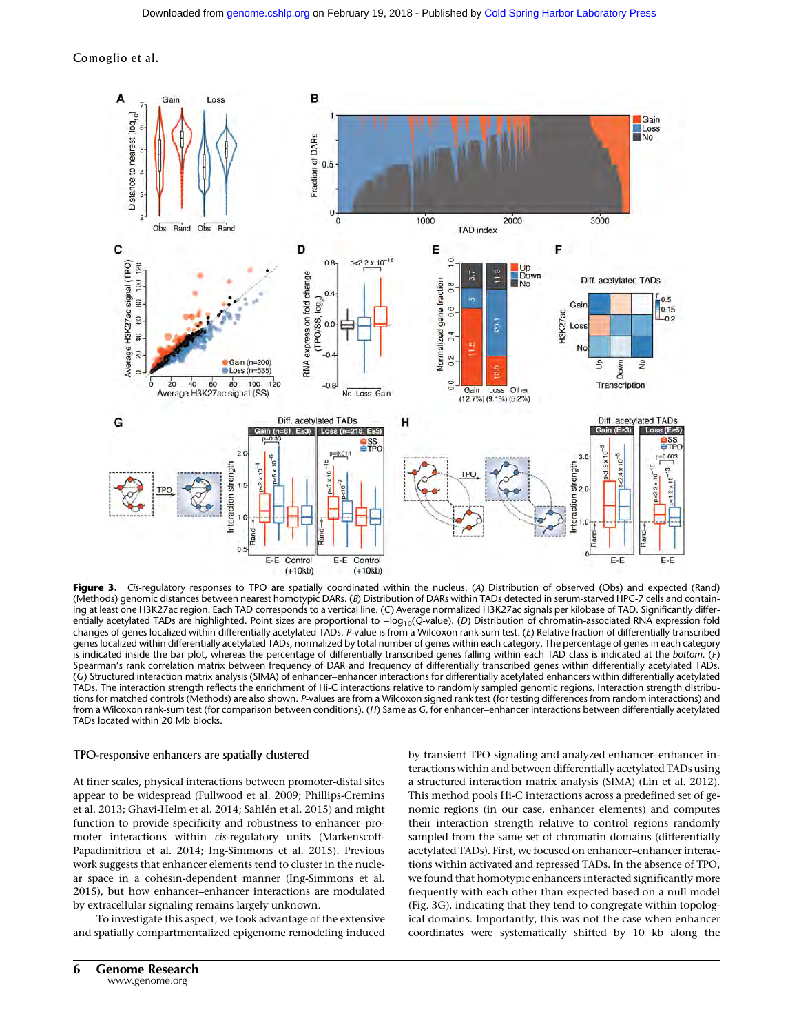



Figure 3. Cis-regulatory responses to TPO are spatially coordinated within the nucleus. (A) Distribution of observed (Obs) and expected (Rand) (Methods) genomic distances between nearest homotypic DARs. (B) Distribution of DARs within TADs detected in serum-starved HPC-7 cells and containing at least one H3K27ac region. Each TAD corresponds to a vertical line. (C) Average normalized H3K27ac signals per kilobase of TAD. Significantly differentially acetylated TADs are highlighted. Point sizes are proportional to -log<sub>10</sub>(Q-value). (D) Distribution of chromatin-associated RNA expression fold changes of genes localized within differentially acetylated TADs. P-value is from a Wilcoxon rank-sum test. (E) Relative fraction of differentially transcribed genes localized within differentially acetylated TADs, normalized by total number of genes within each category. The percentage of genes in each category is indicated inside the bar plot, whereas the percentage of differentially transcribed genes falling within each TAD class is indicated at the bottom. (F) Spearman's rank correlation matrix between frequency of DAR and frequency of differentially transcribed genes within differentially acetylated TADs. (G) Structured interaction matrix analysis (SIMA) of enhancer–enhancer interactions for differentially acetylated enhancers within differentially acetylated TADs. The interaction strength reflects the enrichment of Hi-C interactions relative to randomly sampled genomic regions. Interaction strength distributions for matched controls (Methods) are also shown. P-values are from a Wilcoxon signed rank test (for testing differences from random interactions) and from a Wilcoxon rank-sum test (for comparison between conditions). (H) Same as G, for enhancer–enhancer interactions between differentially acetylated TADs located within 20 Mb blocks.

#### TPO-responsive enhancers are spatially clustered

At finer scales, physical interactions between promoter-distal sites appear to be widespread (Fullwood et al. 2009; Phillips-Cremins et al. 2013; Ghavi-Helm et al. 2014; Sahlén et al. 2015) and might function to provide specificity and robustness to enhancer–promoter interactions within cis-regulatory units (Markenscoff-Papadimitriou et al. 2014; Ing-Simmons et al. 2015). Previous work suggests that enhancer elements tend to cluster in the nuclear space in a cohesin-dependent manner (Ing-Simmons et al. 2015), but how enhancer–enhancer interactions are modulated by extracellular signaling remains largely unknown.

To investigate this aspect, we took advantage of the extensive and spatially compartmentalized epigenome remodeling induced by transient TPO signaling and analyzed enhancer–enhancer interactions within and between differentially acetylated TADs using a structured interaction matrix analysis (SIMA) (Lin et al. 2012). This method pools Hi-C interactions across a predefined set of genomic regions (in our case, enhancer elements) and computes their interaction strength relative to control regions randomly sampled from the same set of chromatin domains (differentially acetylated TADs). First, we focused on enhancer–enhancer interactions within activated and repressed TADs. In the absence of TPO, we found that homotypic enhancers interacted significantly more frequently with each other than expected based on a null model (Fig. 3G), indicating that they tend to congregate within topological domains. Importantly, this was not the case when enhancer coordinates were systematically shifted by 10 kb along the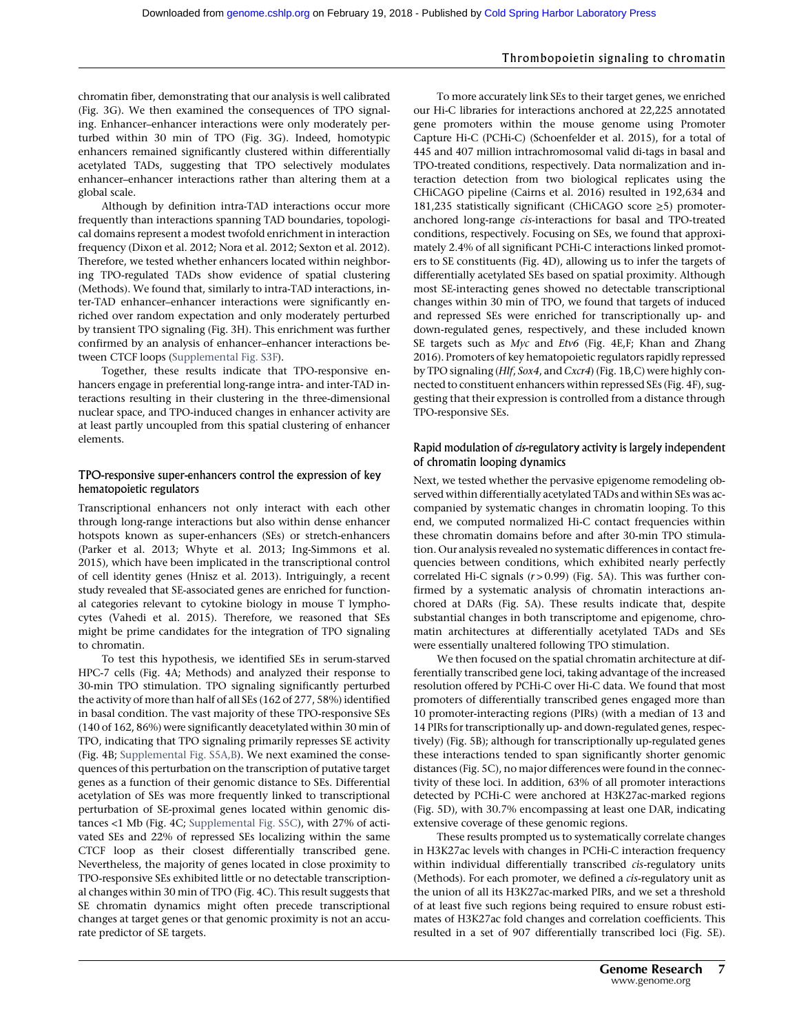chromatin fiber, demonstrating that our analysis is well calibrated (Fig. 3G). We then examined the consequences of TPO signaling. Enhancer–enhancer interactions were only moderately perturbed within 30 min of TPO (Fig. 3G). Indeed, homotypic enhancers remained significantly clustered within differentially acetylated TADs, suggesting that TPO selectively modulates enhancer–enhancer interactions rather than altering them at a global scale.

Although by definition intra-TAD interactions occur more frequently than interactions spanning TAD boundaries, topological domains represent a modest twofold enrichment in interaction frequency (Dixon et al. 2012; Nora et al. 2012; Sexton et al. 2012). Therefore, we tested whether enhancers located within neighboring TPO-regulated TADs show evidence of spatial clustering (Methods). We found that, similarly to intra-TAD interactions, inter-TAD enhancer–enhancer interactions were significantly enriched over random expectation and only moderately perturbed by transient TPO signaling (Fig. 3H). This enrichment was further confirmed by an analysis of enhancer–enhancer interactions between CTCF loops ([Supplemental Fig. S3F\)](http://genome.cshlp.org/lookup/suppl/doi:10.1101/gr.227272.117/-/DC1).

Together, these results indicate that TPO-responsive enhancers engage in preferential long-range intra- and inter-TAD interactions resulting in their clustering in the three-dimensional nuclear space, and TPO-induced changes in enhancer activity are at least partly uncoupled from this spatial clustering of enhancer elements.

#### TPO-responsive super-enhancers control the expression of key hematopoietic regulators

Transcriptional enhancers not only interact with each other through long-range interactions but also within dense enhancer hotspots known as super-enhancers (SEs) or stretch-enhancers (Parker et al. 2013; Whyte et al. 2013; Ing-Simmons et al. 2015), which have been implicated in the transcriptional control of cell identity genes (Hnisz et al. 2013). Intriguingly, a recent study revealed that SE-associated genes are enriched for functional categories relevant to cytokine biology in mouse T lymphocytes (Vahedi et al. 2015). Therefore, we reasoned that SEs might be prime candidates for the integration of TPO signaling to chromatin.

To test this hypothesis, we identified SEs in serum-starved HPC-7 cells (Fig. 4A; Methods) and analyzed their response to 30-min TPO stimulation. TPO signaling significantly perturbed the activity of more than half of all SEs (162 of 277, 58%) identified in basal condition. The vast majority of these TPO-responsive SEs (140 of 162, 86%) were significantly deacetylated within 30 min of TPO, indicating that TPO signaling primarily represses SE activity (Fig. 4B; [Supplemental Fig. S5A,B\)](http://genome.cshlp.org/lookup/suppl/doi:10.1101/gr.227272.117/-/DC1). We next examined the consequences of this perturbation on the transcription of putative target genes as a function of their genomic distance to SEs. Differential acetylation of SEs was more frequently linked to transcriptional perturbation of SE-proximal genes located within genomic distances <1 Mb (Fig. 4C; [Supplemental Fig. S5C](http://genome.cshlp.org/lookup/suppl/doi:10.1101/gr.227272.117/-/DC1)), with 27% of activated SEs and 22% of repressed SEs localizing within the same CTCF loop as their closest differentially transcribed gene. Nevertheless, the majority of genes located in close proximity to TPO-responsive SEs exhibited little or no detectable transcriptional changes within 30 min of TPO (Fig. 4C). This result suggests that SE chromatin dynamics might often precede transcriptional changes at target genes or that genomic proximity is not an accurate predictor of SE targets.

To more accurately link SEs to their target genes, we enriched our Hi-C libraries for interactions anchored at 22,225 annotated gene promoters within the mouse genome using Promoter Capture Hi-C (PCHi-C) (Schoenfelder et al. 2015), for a total of 445 and 407 million intrachromosomal valid di-tags in basal and TPO-treated conditions, respectively. Data normalization and interaction detection from two biological replicates using the CHiCAGO pipeline (Cairns et al. 2016) resulted in 192,634 and 181,235 statistically significant (CHiCAGO score ≥5) promoteranchored long-range cis-interactions for basal and TPO-treated conditions, respectively. Focusing on SEs, we found that approximately 2.4% of all significant PCHi-C interactions linked promoters to SE constituents (Fig. 4D), allowing us to infer the targets of differentially acetylated SEs based on spatial proximity. Although most SE-interacting genes showed no detectable transcriptional changes within 30 min of TPO, we found that targets of induced and repressed SEs were enriched for transcriptionally up- and down-regulated genes, respectively, and these included known SE targets such as Myc and Etv6 (Fig. 4E,F; Khan and Zhang 2016). Promoters of key hematopoietic regulators rapidly repressed by TPO signaling (Hlf, Sox4, and Cxcr4) (Fig. 1B,C) were highly connected to constituent enhancers within repressed SEs (Fig. 4F), suggesting that their expression is controlled from a distance through TPO-responsive SEs.

#### Rapid modulation of cis-regulatory activity is largely independent of chromatin looping dynamics

Next, we tested whether the pervasive epigenome remodeling observed within differentially acetylated TADs and within SEs was accompanied by systematic changes in chromatin looping. To this end, we computed normalized Hi-C contact frequencies within these chromatin domains before and after 30-min TPO stimulation. Our analysis revealed no systematic differences in contact frequencies between conditions, which exhibited nearly perfectly correlated Hi-C signals  $(r > 0.99)$  (Fig. 5A). This was further confirmed by a systematic analysis of chromatin interactions anchored at DARs (Fig. 5A). These results indicate that, despite substantial changes in both transcriptome and epigenome, chromatin architectures at differentially acetylated TADs and SEs were essentially unaltered following TPO stimulation.

We then focused on the spatial chromatin architecture at differentially transcribed gene loci, taking advantage of the increased resolution offered by PCHi-C over Hi-C data. We found that most promoters of differentially transcribed genes engaged more than 10 promoter-interacting regions (PIRs) (with a median of 13 and 14 PIRs for transcriptionally up- and down-regulated genes, respectively) (Fig. 5B); although for transcriptionally up-regulated genes these interactions tended to span significantly shorter genomic distances (Fig. 5C), no major differences were found in the connectivity of these loci. In addition, 63% of all promoter interactions detected by PCHi-C were anchored at H3K27ac-marked regions (Fig. 5D), with 30.7% encompassing at least one DAR, indicating extensive coverage of these genomic regions.

These results prompted us to systematically correlate changes in H3K27ac levels with changes in PCHi-C interaction frequency within individual differentially transcribed cis-regulatory units (Methods). For each promoter, we defined a cis-regulatory unit as the union of all its H3K27ac-marked PIRs, and we set a threshold of at least five such regions being required to ensure robust estimates of H3K27ac fold changes and correlation coefficients. This resulted in a set of 907 differentially transcribed loci (Fig. 5E).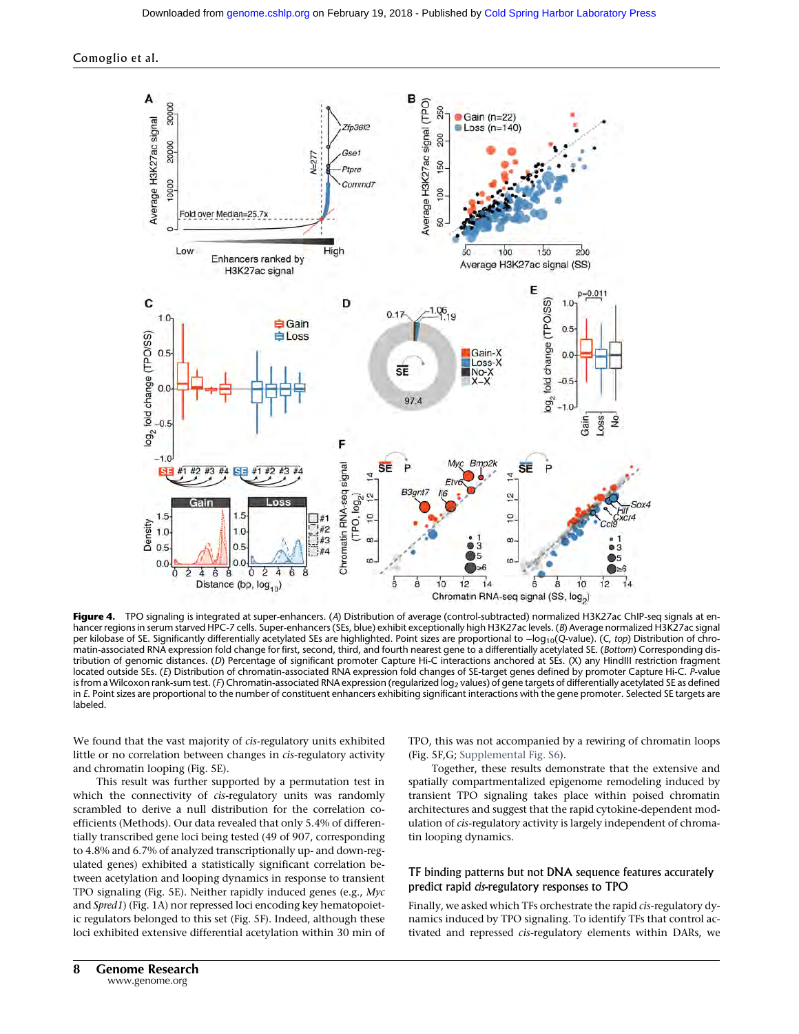

Figure 4. TPO signaling is integrated at super-enhancers. (A) Distribution of average (control-subtracted) normalized H3K27ac ChIP-seq signals at enhancer regions in serum starved HPC-7 cells. Super-enhancers (SEs, blue) exhibit exceptionally high H3K27ac levels. (B) Average normalized H3K27ac signal per kilobase of SE. Significantly differentially acetylated SEs are highlighted. Point sizes are proportional to −log<sub>10</sub>(Q-value). (C, top) Distribution of chromatin-associated RNA expression fold change for first, second, third, and fourth nearest gene to a differentially acetylated SE. (Bottom) Corresponding distribution of genomic distances. (D) Percentage of significant promoter Capture Hi-C interactions anchored at SEs. (X) any HindIII restriction fragment located outside SEs. (E) Distribution of chromatin-associated RNA expression fold changes of SE-target genes defined by promoter Capture Hi-C. P-value is from a Wilcoxon rank-sum test. (F) Chromatin-associated RNA expression (regularized log<sub>2</sub> values) of gene targets of differentially acetylated SE as defined in E. Point sizes are proportional to the number of constituent enhancers exhibiting significant interactions with the gene promoter. Selected SE targets are labeled.

We found that the vast majority of cis-regulatory units exhibited little or no correlation between changes in cis-regulatory activity and chromatin looping (Fig. 5E).

This result was further supported by a permutation test in which the connectivity of *cis-regulatory* units was randomly scrambled to derive a null distribution for the correlation coefficients (Methods). Our data revealed that only 5.4% of differentially transcribed gene loci being tested (49 of 907, corresponding to 4.8% and 6.7% of analyzed transcriptionally up- and down-regulated genes) exhibited a statistically significant correlation between acetylation and looping dynamics in response to transient TPO signaling (Fig. 5E). Neither rapidly induced genes (e.g., Myc and Spred1) (Fig. 1A) nor repressed loci encoding key hematopoietic regulators belonged to this set (Fig. 5F). Indeed, although these loci exhibited extensive differential acetylation within 30 min of TPO, this was not accompanied by a rewiring of chromatin loops (Fig. 5F,G; [Supplemental Fig. S6](http://genome.cshlp.org/lookup/suppl/doi:10.1101/gr.227272.117/-/DC1)).

Together, these results demonstrate that the extensive and spatially compartmentalized epigenome remodeling induced by transient TPO signaling takes place within poised chromatin architectures and suggest that the rapid cytokine-dependent modulation of cis-regulatory activity is largely independent of chromatin looping dynamics.

# TF binding patterns but not DNA sequence features accurately predict rapid cis-regulatory responses to TPO

Finally, we asked which TFs orchestrate the rapid cis-regulatory dynamics induced by TPO signaling. To identify TFs that control activated and repressed cis-regulatory elements within DARs, we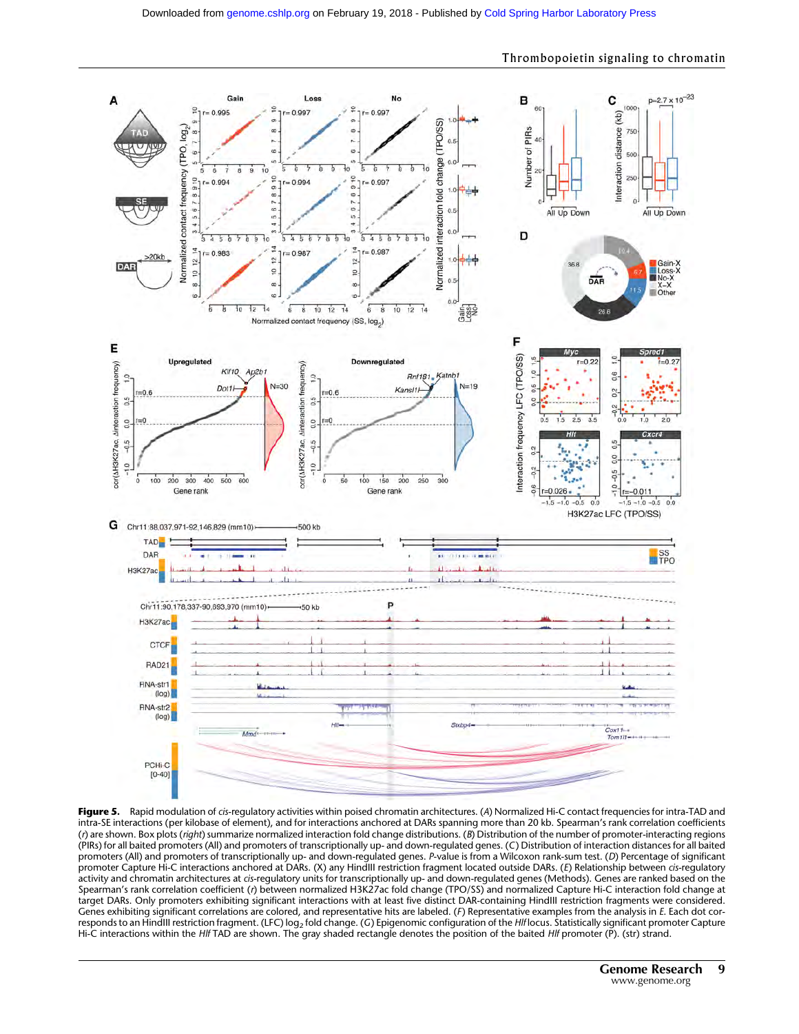

Figure 5. Rapid modulation of cis-regulatory activities within poised chromatin architectures. (A) Normalized Hi-C contact frequencies for intra-TAD and intra-SE interactions (per kilobase of element), and for interactions anchored at DARs spanning more than 20 kb. Spearman's rank correlation coefficients (r) are shown. Box plots (right) summarize normalized interaction fold change distributions. (B) Distribution of the number of promoter-interacting regions (PIRs) for all baited promoters (All) and promoters of transcriptionally up- and down-regulated genes. (C) Distribution of interaction distances for all baited promoters (All) and promoters of transcriptionally up- and down-regulated genes. P-value is from a Wilcoxon rank-sum test. (D) Percentage of significant promoter Capture Hi-C interactions anchored at DARs. (X) any HindIII restriction fragment located outside DARs. (E) Relationship between cis-regulatory activity and chromatin architectures at cis-regulatory units for transcriptionally up- and down-regulated genes (Methods). Genes are ranked based on the Spearman's rank correlation coefficient (r) between normalized H3K27ac fold change (TPO/SS) and normalized Capture Hi-C interaction fold change at target DARs. Only promoters exhibiting significant interactions with at least five distinct DAR-containing HindIII restriction fragments were considered. Genes exhibiting significant correlations are colored, and representative hits are labeled. (F) Representative examples from the analysis in E. Each dot corresponds to an HindIII restriction fragment. (LFC) log<sub>2</sub> fold change. (G) Epigenomic configuration of the Hlf locus. Statistically significant promoter Capture Hi-C interactions within the Hlf TAD are shown. The gray shaded rectangle denotes the position of the baited Hlf promoter (P). (str) strand.

#### Thrombopoietin signaling to chromatin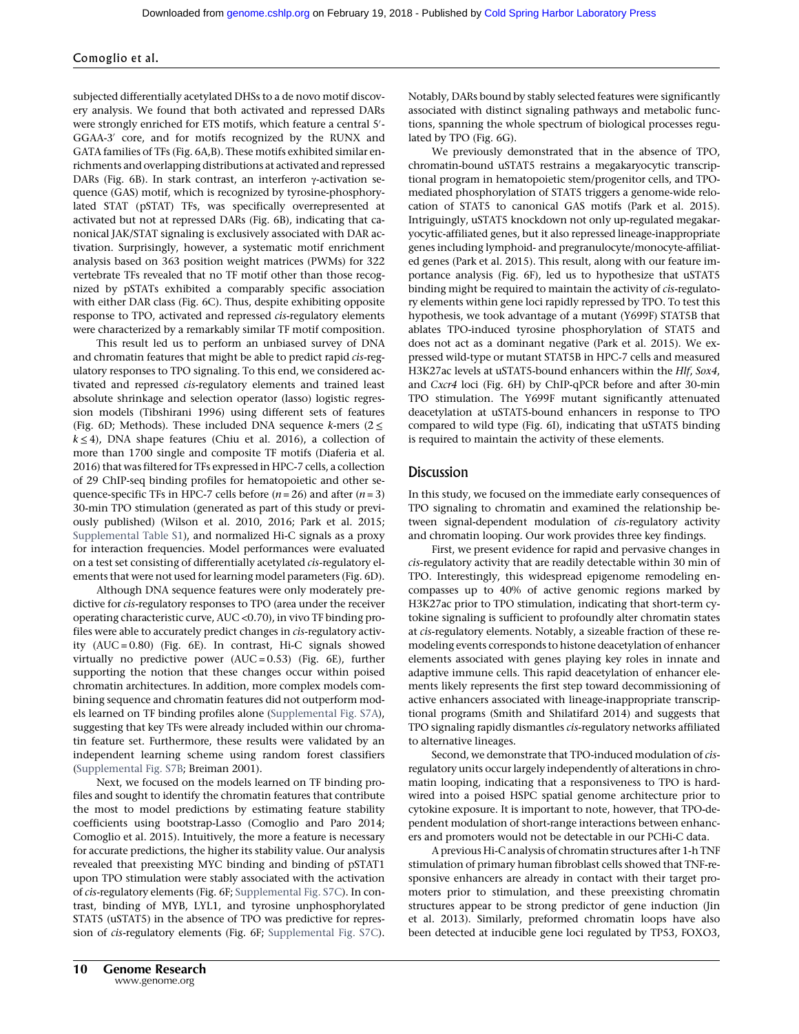subjected differentially acetylated DHSs to a de novo motif discovery analysis. We found that both activated and repressed DARs were strongly enriched for ETS motifs, which feature a central 5′ - GGAA-3′ core, and for motifs recognized by the RUNX and GATA families of TFs (Fig. 6A,B). These motifs exhibited similar enrichments and overlapping distributions at activated and repressed DARs (Fig. 6B). In stark contrast, an interferon γ-activation sequence (GAS) motif, which is recognized by tyrosine-phosphorylated STAT (pSTAT) TFs, was specifically overrepresented at activated but not at repressed DARs (Fig. 6B), indicating that canonical JAK/STAT signaling is exclusively associated with DAR activation. Surprisingly, however, a systematic motif enrichment analysis based on 363 position weight matrices (PWMs) for 322 vertebrate TFs revealed that no TF motif other than those recognized by pSTATs exhibited a comparably specific association with either DAR class (Fig. 6C). Thus, despite exhibiting opposite response to TPO, activated and repressed cis-regulatory elements were characterized by a remarkably similar TF motif composition.

This result led us to perform an unbiased survey of DNA and chromatin features that might be able to predict rapid cis-regulatory responses to TPO signaling. To this end, we considered activated and repressed cis-regulatory elements and trained least absolute shrinkage and selection operator (lasso) logistic regression models (Tibshirani 1996) using different sets of features (Fig. 6D; Methods). These included DNA sequence *k*-mers ( $2 \le$  $k \leq 4$ ), DNA shape features (Chiu et al. 2016), a collection of more than 1700 single and composite TF motifs (Diaferia et al. 2016) that was filtered for TFs expressed in HPC-7 cells, a collection of 29 ChIP-seq binding profiles for hematopoietic and other sequence-specific TFs in HPC-7 cells before  $(n = 26)$  and after  $(n = 3)$ 30-min TPO stimulation (generated as part of this study or previously published) (Wilson et al. 2010, 2016; Park et al. 2015; [Supplemental Table S1](http://genome.cshlp.org/lookup/suppl/doi:10.1101/gr.227272.117/-/DC1)), and normalized Hi-C signals as a proxy for interaction frequencies. Model performances were evaluated on a test set consisting of differentially acetylated cis-regulatory elements that were not used for learning model parameters (Fig. 6D).

Although DNA sequence features were only moderately predictive for cis-regulatory responses to TPO (area under the receiver operating characteristic curve, AUC <0.70), in vivo TF binding profiles were able to accurately predict changes in cis-regulatory activity (AUC = 0.80) (Fig. 6E). In contrast, Hi-C signals showed virtually no predictive power (AUC = 0.53) (Fig. 6E), further supporting the notion that these changes occur within poised chromatin architectures. In addition, more complex models combining sequence and chromatin features did not outperform models learned on TF binding profiles alone ([Supplemental Fig. S7A\)](http://genome.cshlp.org/lookup/suppl/doi:10.1101/gr.227272.117/-/DC1), suggesting that key TFs were already included within our chromatin feature set. Furthermore, these results were validated by an independent learning scheme using random forest classifiers ([Supplemental Fig. S7B](http://genome.cshlp.org/lookup/suppl/doi:10.1101/gr.227272.117/-/DC1); Breiman 2001).

Next, we focused on the models learned on TF binding profiles and sought to identify the chromatin features that contribute the most to model predictions by estimating feature stability coefficients using bootstrap-Lasso (Comoglio and Paro 2014; Comoglio et al. 2015). Intuitively, the more a feature is necessary for accurate predictions, the higher its stability value. Our analysis revealed that preexisting MYC binding and binding of pSTAT1 upon TPO stimulation were stably associated with the activation of cis-regulatory elements (Fig. 6F; [Supplemental Fig. S7C](http://genome.cshlp.org/lookup/suppl/doi:10.1101/gr.227272.117/-/DC1)). In contrast, binding of MYB, LYL1, and tyrosine unphosphorylated STAT5 (uSTAT5) in the absence of TPO was predictive for repression of cis-regulatory elements (Fig. 6F; [Supplemental Fig. S7C\)](http://genome.cshlp.org/lookup/suppl/doi:10.1101/gr.227272.117/-/DC1).

Notably, DARs bound by stably selected features were significantly associated with distinct signaling pathways and metabolic functions, spanning the whole spectrum of biological processes regulated by TPO (Fig. 6G).

We previously demonstrated that in the absence of TPO, chromatin-bound uSTAT5 restrains a megakaryocytic transcriptional program in hematopoietic stem/progenitor cells, and TPOmediated phosphorylation of STAT5 triggers a genome-wide relocation of STAT5 to canonical GAS motifs (Park et al. 2015). Intriguingly, uSTAT5 knockdown not only up-regulated megakaryocytic-affiliated genes, but it also repressed lineage-inappropriate genes including lymphoid- and pregranulocyte/monocyte-affiliated genes (Park et al. 2015). This result, along with our feature importance analysis (Fig. 6F), led us to hypothesize that uSTAT5 binding might be required to maintain the activity of cis-regulatory elements within gene loci rapidly repressed by TPO. To test this hypothesis, we took advantage of a mutant (Y699F) STAT5B that ablates TPO-induced tyrosine phosphorylation of STAT5 and does not act as a dominant negative (Park et al. 2015). We expressed wild-type or mutant STAT5B in HPC-7 cells and measured H3K27ac levels at uSTAT5-bound enhancers within the Hlf, Sox4, and Cxcr4 loci (Fig. 6H) by ChIP-qPCR before and after 30-min TPO stimulation. The Y699F mutant significantly attenuated deacetylation at uSTAT5-bound enhancers in response to TPO compared to wild type (Fig. 6I), indicating that uSTAT5 binding is required to maintain the activity of these elements.

# **Discussion**

In this study, we focused on the immediate early consequences of TPO signaling to chromatin and examined the relationship between signal-dependent modulation of cis-regulatory activity and chromatin looping. Our work provides three key findings.

First, we present evidence for rapid and pervasive changes in cis-regulatory activity that are readily detectable within 30 min of TPO. Interestingly, this widespread epigenome remodeling encompasses up to 40% of active genomic regions marked by H3K27ac prior to TPO stimulation, indicating that short-term cytokine signaling is sufficient to profoundly alter chromatin states at cis-regulatory elements. Notably, a sizeable fraction of these remodeling events corresponds to histone deacetylation of enhancer elements associated with genes playing key roles in innate and adaptive immune cells. This rapid deacetylation of enhancer elements likely represents the first step toward decommissioning of active enhancers associated with lineage-inappropriate transcriptional programs (Smith and Shilatifard 2014) and suggests that TPO signaling rapidly dismantles cis-regulatory networks affiliated to alternative lineages.

Second, we demonstrate that TPO-induced modulation of cisregulatory units occur largely independently of alterations in chromatin looping, indicating that a responsiveness to TPO is hardwired into a poised HSPC spatial genome architecture prior to cytokine exposure. It is important to note, however, that TPO-dependent modulation of short-range interactions between enhancers and promoters would not be detectable in our PCHi-C data.

A previous Hi-C analysis of chromatin structures after 1-h TNF stimulation of primary human fibroblast cells showed that TNF-responsive enhancers are already in contact with their target promoters prior to stimulation, and these preexisting chromatin structures appear to be strong predictor of gene induction (Jin et al. 2013). Similarly, preformed chromatin loops have also been detected at inducible gene loci regulated by TP53, FOXO3,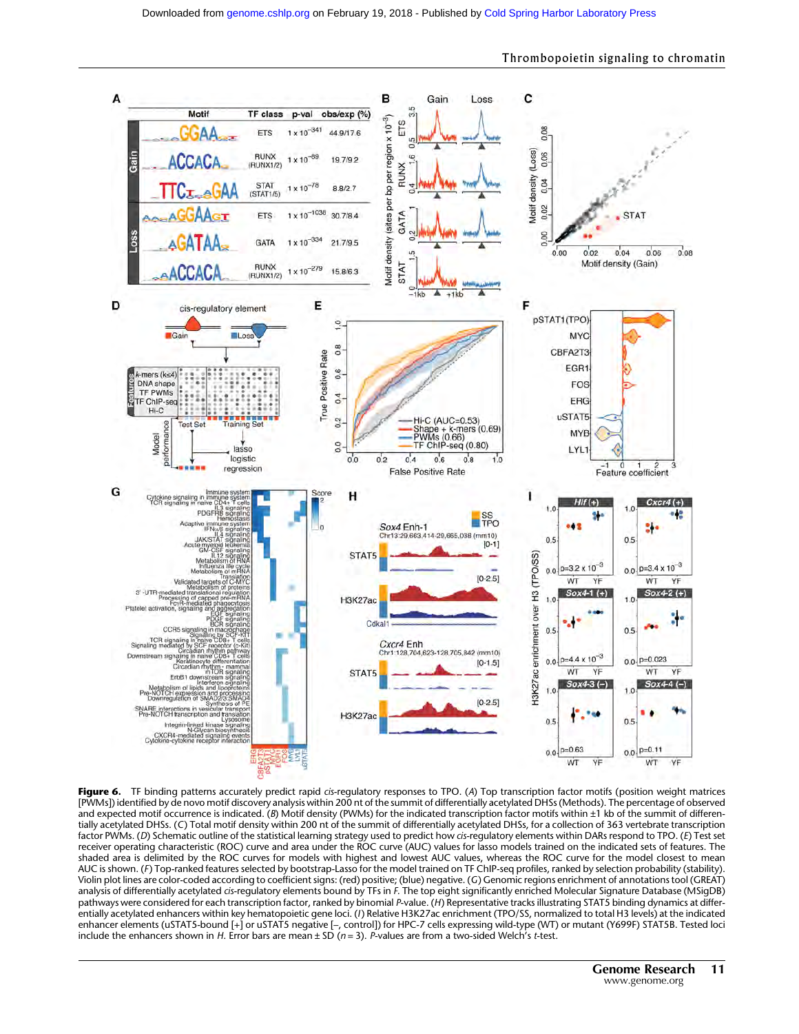

Thrombopoietin signaling to chromatin

Figure 6. TF binding patterns accurately predict rapid cis-regulatory responses to TPO. (A) Top transcription factor motifs (position weight matrices [PWMs]) identified by de novo motif discovery analysis within 200 nt of the summit of differentially acetylated DHSs (Methods). The percentage of observed and expected motif occurrence is indicated. (B) Motif density (PWMs) for the indicated transcription factor motifs within  $\pm 1$  kb of the summit of differentially acetylated DHSs. (C) Total motif density within 200 nt of the summit of differentially acetylated DHSs, for a collection of 363 vertebrate transcription factor PWMs. (D) Schematic outline of the statistical learning strategy used to predict how cis-regulatory elements within DARs respond to TPO. (E) Test set receiver operating characteristic (ROC) curve and area under the ROC curve (AUC) values for lasso models trained on the indicated sets of features. The shaded area is delimited by the ROC curves for models with highest and lowest AUC values, whereas the ROC curve for the model closest to mean AUC is shown. (F ) Top-ranked features selected by bootstrap-Lasso for the model trained on TF ChIP-seq profiles, ranked by selection probability (stability). Violin plot lines are color-coded according to coefficient signs: (red) positive; (blue) negative. (G) Genomic regions enrichment of annotations tool (GREAT) analysis of differentially acetylated cis-regulatory elements bound by TFs in F. The top eight significantly enriched Molecular Signature Database (MSigDB) pathways were considered for each transcription factor, ranked by binomial P-value. (H) Representative tracks illustrating STAT5 binding dynamics at differentially acetylated enhancers within key hematopoietic gene loci. (I) Relative H3K27ac enrichment (TPO/SS, normalized to total H3 levels) at the indicated enhancer elements (uSTAT5-bound [+] or uSTAT5 negative [–, control]) for HPC-7 cells expressing wild-type (WT) or mutant (Y699F) STAT5B. Tested loci include the enhancers shown in H. Error bars are mean  $\pm$  SD (n = 3). P-values are from a two-sided Welch's t-test.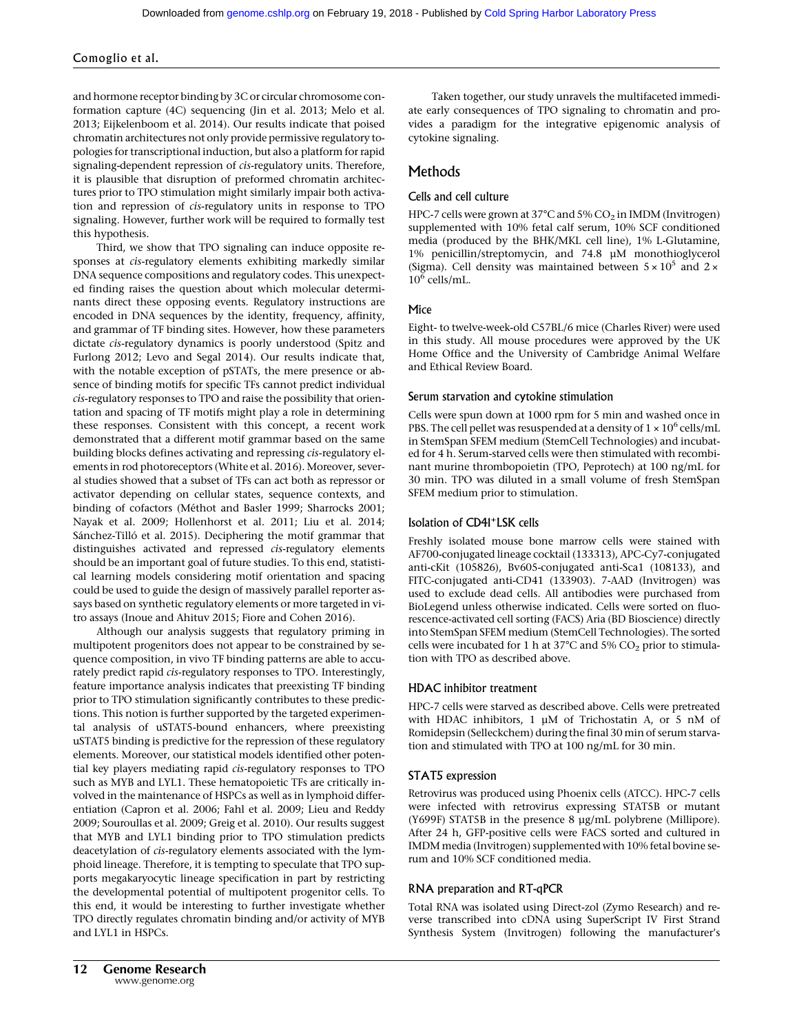and hormone receptor binding by 3C or circular chromosome conformation capture (4C) sequencing (Jin et al. 2013; Melo et al. 2013; Eijkelenboom et al. 2014). Our results indicate that poised chromatin architectures not only provide permissive regulatory topologies for transcriptional induction, but also a platform for rapid signaling-dependent repression of cis-regulatory units. Therefore, it is plausible that disruption of preformed chromatin architectures prior to TPO stimulation might similarly impair both activation and repression of cis-regulatory units in response to TPO signaling. However, further work will be required to formally test this hypothesis.

Third, we show that TPO signaling can induce opposite responses at cis-regulatory elements exhibiting markedly similar DNA sequence compositions and regulatory codes. This unexpected finding raises the question about which molecular determinants direct these opposing events. Regulatory instructions are encoded in DNA sequences by the identity, frequency, affinity, and grammar of TF binding sites. However, how these parameters dictate cis-regulatory dynamics is poorly understood (Spitz and Furlong 2012; Levo and Segal 2014). Our results indicate that, with the notable exception of pSTATs, the mere presence or absence of binding motifs for specific TFs cannot predict individual cis-regulatory responses to TPO and raise the possibility that orientation and spacing of TF motifs might play a role in determining these responses. Consistent with this concept, a recent work demonstrated that a different motif grammar based on the same building blocks defines activating and repressing cis-regulatory elements in rod photoreceptors (White et al. 2016). Moreover, several studies showed that a subset of TFs can act both as repressor or activator depending on cellular states, sequence contexts, and binding of cofactors (Méthot and Basler 1999; Sharrocks 2001; Nayak et al. 2009; Hollenhorst et al. 2011; Liu et al. 2014; Sánchez-Tilló et al. 2015). Deciphering the motif grammar that distinguishes activated and repressed cis-regulatory elements should be an important goal of future studies. To this end, statistical learning models considering motif orientation and spacing could be used to guide the design of massively parallel reporter assays based on synthetic regulatory elements or more targeted in vitro assays (Inoue and Ahituv 2015; Fiore and Cohen 2016).

Although our analysis suggests that regulatory priming in multipotent progenitors does not appear to be constrained by sequence composition, in vivo TF binding patterns are able to accurately predict rapid cis-regulatory responses to TPO. Interestingly, feature importance analysis indicates that preexisting TF binding prior to TPO stimulation significantly contributes to these predictions. This notion is further supported by the targeted experimental analysis of uSTAT5-bound enhancers, where preexisting uSTAT5 binding is predictive for the repression of these regulatory elements. Moreover, our statistical models identified other potential key players mediating rapid cis-regulatory responses to TPO such as MYB and LYL1. These hematopoietic TFs are critically involved in the maintenance of HSPCs as well as in lymphoid differentiation (Capron et al. 2006; Fahl et al. 2009; Lieu and Reddy 2009; Souroullas et al. 2009; Greig et al. 2010). Our results suggest that MYB and LYL1 binding prior to TPO stimulation predicts deacetylation of cis-regulatory elements associated with the lymphoid lineage. Therefore, it is tempting to speculate that TPO supports megakaryocytic lineage specification in part by restricting the developmental potential of multipotent progenitor cells. To this end, it would be interesting to further investigate whether TPO directly regulates chromatin binding and/or activity of MYB and LYL1 in HSPCs.

# Methods

# Cells and cell culture

HPC-7 cells were grown at 37°C and 5% CO<sub>2</sub> in IMDM (Invitrogen) supplemented with 10% fetal calf serum, 10% SCF conditioned media (produced by the BHK/MKL cell line), 1% L-Glutamine, 1% penicillin/streptomycin, and 74.8 µM monothioglycerol (Sigma). Cell density was maintained between  $5 \times 10^5$  and  $2 \times$  $10^6$  cells/mL.

# Mice

Eight- to twelve-week-old C57BL/6 mice (Charles River) were used in this study. All mouse procedures were approved by the UK Home Office and the University of Cambridge Animal Welfare and Ethical Review Board.

# Serum starvation and cytokine stimulation

Cells were spun down at 1000 rpm for 5 min and washed once in PBS. The cell pellet was resuspended at a density of  $1 \times 10^6$  cells/mL in StemSpan SFEM medium (StemCell Technologies) and incubated for 4 h. Serum-starved cells were then stimulated with recombinant murine thrombopoietin (TPO, Peprotech) at 100 ng/mL for 30 min. TPO was diluted in a small volume of fresh StemSpan SFEM medium prior to stimulation.

# Isolation of CD41+LSK cells

Freshly isolated mouse bone marrow cells were stained with AF700-conjugated lineage cocktail (133313), APC-Cy7-conjugated anti-cKit (105826), Bv605-conjugated anti-Sca1 (108133), and FITC-conjugated anti-CD41 (133903). 7-AAD (Invitrogen) was used to exclude dead cells. All antibodies were purchased from BioLegend unless otherwise indicated. Cells were sorted on fluorescence-activated cell sorting (FACS) Aria (BD Bioscience) directly into StemSpan SFEM medium (StemCell Technologies). The sorted cells were incubated for 1 h at 37°C and 5%  $CO<sub>2</sub>$  prior to stimulation with TPO as described above.

# HDAC inhibitor treatment

HPC-7 cells were starved as described above. Cells were pretreated with HDAC inhibitors, 1  $\mu$ M of Trichostatin A, or 5 nM of Romidepsin (Selleckchem) during the final 30 min of serum starvation and stimulated with TPO at 100 ng/mL for 30 min.

# STAT5 expression

Retrovirus was produced using Phoenix cells (ATCC). HPC-7 cells were infected with retrovirus expressing STAT5B or mutant (Y699F) STAT5B in the presence 8 µg/mL polybrene (Millipore). After 24 h, GFP-positive cells were FACS sorted and cultured in IMDM media (Invitrogen) supplemented with 10% fetal bovine serum and 10% SCF conditioned media.

#### RNA preparation and RT-qPCR

Total RNA was isolated using Direct-zol (Zymo Research) and reverse transcribed into cDNA using SuperScript IV First Strand Synthesis System (Invitrogen) following the manufacturer's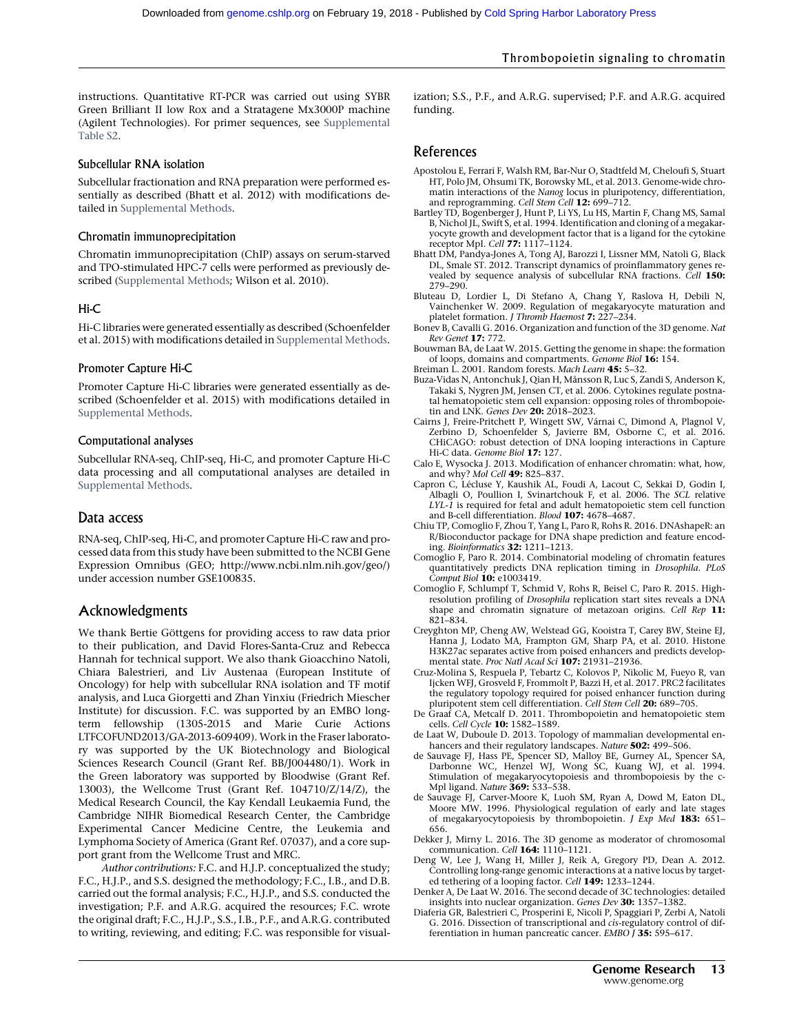instructions. Quantitative RT-PCR was carried out using SYBR Green Brilliant II low Rox and a Stratagene Mx3000P machine (Agilent Technologies). For primer sequences, see [Supplemental](http://genome.cshlp.org/lookup/suppl/doi:10.1101/gr.227272.117/-/DC1) [Table S2](http://genome.cshlp.org/lookup/suppl/doi:10.1101/gr.227272.117/-/DC1).

#### Subcellular RNA isolation

Subcellular fractionation and RNA preparation were performed essentially as described (Bhatt et al. 2012) with modifications detailed in [Supplemental Methods.](http://genome.cshlp.org/lookup/suppl/doi:10.1101/gr.227272.117/-/DC1)

#### Chromatin immunoprecipitation

Chromatin immunoprecipitation (ChIP) assays on serum-starved and TPO-stimulated HPC-7 cells were performed as previously described ([Supplemental Methods;](http://genome.cshlp.org/lookup/suppl/doi:10.1101/gr.227272.117/-/DC1) Wilson et al. 2010).

#### Hi-C

Hi-C libraries were generated essentially as described (Schoenfelder et al. 2015) with modifications detailed in [Supplemental Methods.](http://genome.cshlp.org/lookup/suppl/doi:10.1101/gr.227272.117/-/DC1)

#### Promoter Capture Hi-C

Promoter Capture Hi-C libraries were generated essentially as described (Schoenfelder et al. 2015) with modifications detailed in [Supplemental Methods](http://genome.cshlp.org/lookup/suppl/doi:10.1101/gr.227272.117/-/DC1).

#### Computational analyses

Subcellular RNA-seq, ChIP-seq, Hi-C, and promoter Capture Hi-C data processing and all computational analyses are detailed in [Supplemental Methods](http://genome.cshlp.org/lookup/suppl/doi:10.1101/gr.227272.117/-/DC1).

### Data access

RNA-seq, ChIP-seq, Hi-C, and promoter Capture Hi-C raw and processed data from this study have been submitted to the NCBI Gene Expression Omnibus (GEO;<http://www.ncbi.nlm.nih.gov/geo/>) under accession number GSE100835.

# Acknowledgments

We thank Bertie Göttgens for providing access to raw data prior to their publication, and David Flores-Santa-Cruz and Rebecca Hannah for technical support. We also thank Gioacchino Natoli, Chiara Balestrieri, and Liv Austenaa (European Institute of Oncology) for help with subcellular RNA isolation and TF motif analysis, and Luca Giorgetti and Zhan Yinxiu (Friedrich Miescher Institute) for discussion. F.C. was supported by an EMBO longterm fellowship (1305-2015 and Marie Curie Actions LTFCOFUND2013/GA-2013-609409). Work in the Fraser laboratory was supported by the UK Biotechnology and Biological Sciences Research Council (Grant Ref. BB/J004480/1). Work in the Green laboratory was supported by Bloodwise (Grant Ref. 13003), the Wellcome Trust (Grant Ref. 104710/Z/14/Z), the Medical Research Council, the Kay Kendall Leukaemia Fund, the Cambridge NIHR Biomedical Research Center, the Cambridge Experimental Cancer Medicine Centre, the Leukemia and Lymphoma Society of America (Grant Ref. 07037), and a core support grant from the Wellcome Trust and MRC.

Author contributions: F.C. and H.J.P. conceptualized the study; F.C., H.J.P., and S.S. designed the methodology; F.C., I.B., and D.B. carried out the formal analysis; F.C., H.J.P., and S.S. conducted the investigation; P.F. and A.R.G. acquired the resources; F.C. wrote the original draft; F.C., H.J.P., S.S., I.B., P.F., and A.R.G. contributed to writing, reviewing, and editing; F.C. was responsible for visualization; S.S., P.F., and A.R.G. supervised; P.F. and A.R.G. acquired funding.

# References

- Apostolou E, Ferrari F, Walsh RM, Bar-Nur O, Stadtfeld M, Cheloufi S, Stuart HT, Polo JM, Ohsumi TK, Borowsky ML, et al. 2013. Genome-wide chromatin interactions of the Nanog locus in pluripotency, differentiation, and reprogramming. Cell Stem Cell 12: 699-712.
- Bartley TD, Bogenberger J, Hunt P, Li YS, Lu HS, Martin F, Chang MS, Samal B, Nichol JL, Swift S, et al. 1994. Identification and cloning of a megakaryocyte growth and development factor that is a ligand for the cytokine receptor MpI. Cell 77: 1117–1124.
- Bhatt DM, Pandya-Jones A, Tong AJ, Barozzi I, Lissner MM, Natoli G, Black DL, Smale ST. 2012. Transcript dynamics of proinflammatory genes revealed by sequence analysis of subcellular RNA fractions. Cell 150: 279–290.
- Bluteau D, Lordier L, Di Stefano A, Chang Y, Raslova H, Debili N, Vainchenker W. 2009. Regulation of megakaryocyte maturation and platelet formation. J Thromb Haemost 7: 227-234.
- Bonev B, Cavalli G. 2016. Organization and function of the 3D genome. Nat Rev Genet 17: 772.
- Bouwman BA, de Laat W. 2015. Getting the genome in shape: the formation of loops, domains and compartments. Genome Biol 16: 154.
- Breiman L. 2001. Random forests. Mach Learn 45: 5-32.
- Buza-Vidas N, Antonchuk J, Qian H, Månsson R, Luc S, Zandi S, Anderson K, Takaki S, Nygren JM, Jensen CT, et al. 2006. Cytokines regulate postnatal hematopoietic stem cell expansion: opposing roles of thrombopoietin and LNK. *Genes Dev* **20:** 2018–2023.
- Cairns J, Freire-Pritchett P, Wingett SW, Várnai C, Dimond A, Plagnol V, Zerbino D, Schoenfelder S, Javierre BM, Osborne C, et al. 2016. CHiCAGO: robust detection of DNA looping interactions in Capture Hi-C data. Genome Biol 17: 127.
- Calo E, Wysocka J. 2013. Modification of enhancer chromatin: what, how, and why? Mol Cell 49: 825-837
- Capron C, Lécluse Y, Kaushik AL, Foudi A, Lacout C, Sekkai D, Godin I, Albagli O, Poullion I, Svinartchouk F, et al. 2006. The SCL relative LYL-1 is required for fetal and adult hematopoietic stem cell function and B-cell differentiation. Blood 107: 4678-4687.
- Chiu TP, Comoglio F, Zhou T, Yang L, Paro R, Rohs R. 2016. DNAshapeR: an R/Bioconductor package for DNA shape prediction and feature encoding. Bioinformatics 32: 1211–1213.
- Comoglio F, Paro R. 2014. Combinatorial modeling of chromatin features quantitatively predicts DNA replication timing in Drosophila. PLoS Comput Biol 10: e1003419.
- Comoglio F, Schlumpf T, Schmid V, Rohs R, Beisel C, Paro R. 2015. Highresolution profiling of Drosophila replication start sites reveals a DNA shape and chromatin signature of metazoan origins. Cell Rep 11: 821–834.
- Creyghton MP, Cheng AW, Welstead GG, Kooistra T, Carey BW, Steine EJ, Hanna J, Lodato MA, Frampton GM, Sharp PA, et al. 2010. Histone H3K27ac separates active from poised enhancers and predicts developmental state. Proc Natl Acad Sci 107: 21931-21936.
- Cruz-Molina S, Respuela P, Tebartz C, Kolovos P, Nikolic M, Fueyo R, van Ijcken WFJ, Grosveld F, Frommolt P, Bazzi H, et al. 2017. PRC2 facilitates the regulatory topology required for poised enhancer function during pluripotent stem cell differentiation. Cell Stem Cell 20: 689-705.
- De Graaf CA, Metcalf D. 2011. Thrombopoietin and hematopoietic stem cells. Cell Cycle 10: 1582-1589.
- de Laat W, Duboule D. 2013. Topology of mammalian developmental enhancers and their regulatory landscapes. Nature 502: 499-506.
- de Sauvage FJ, Hass PE, Spencer SD, Malloy BE, Gurney AL, Spencer SA, Darbonne WC, Henzel WJ, Wong SC, Kuang WJ, et al. 1994. Stimulation of megakaryocytopoiesis and thrombopoiesis by the c-Mpl ligand. Nature 369: 533–538.
- de Sauvage FJ, Carver-Moore K, Luoh SM, Ryan A, Dowd M, Eaton DL, Moore MW. 1996. Physiological regulation of early and late stages of megakaryocytopoiesis by thrombopoietin. J Exp Med 183: 651-656.
- Dekker J, Mirny L. 2016. The 3D genome as moderator of chromosomal communication. Cell 164: 1110–1121.
- Deng W, Lee J, Wang H, Miller J, Reik A, Gregory PD, Dean A. 2012. Controlling long-range genomic interactions at a native locus by targeted tethering of a looping factor. Cell 149: 1233–1244.
- Denker A, De Laat W. 2016. The second decade of 3C technologies: detailed insights into nuclear organization. Genes Dev 30: 1357-1382
- Diaferia GR, Balestrieri C, Prosperini E, Nicoli P, Spaggiari P, Zerbi A, Natoli G. 2016. Dissection of transcriptional and cis-regulatory control of differentiation in human pancreatic cancer. EMBO J 35: 595-617.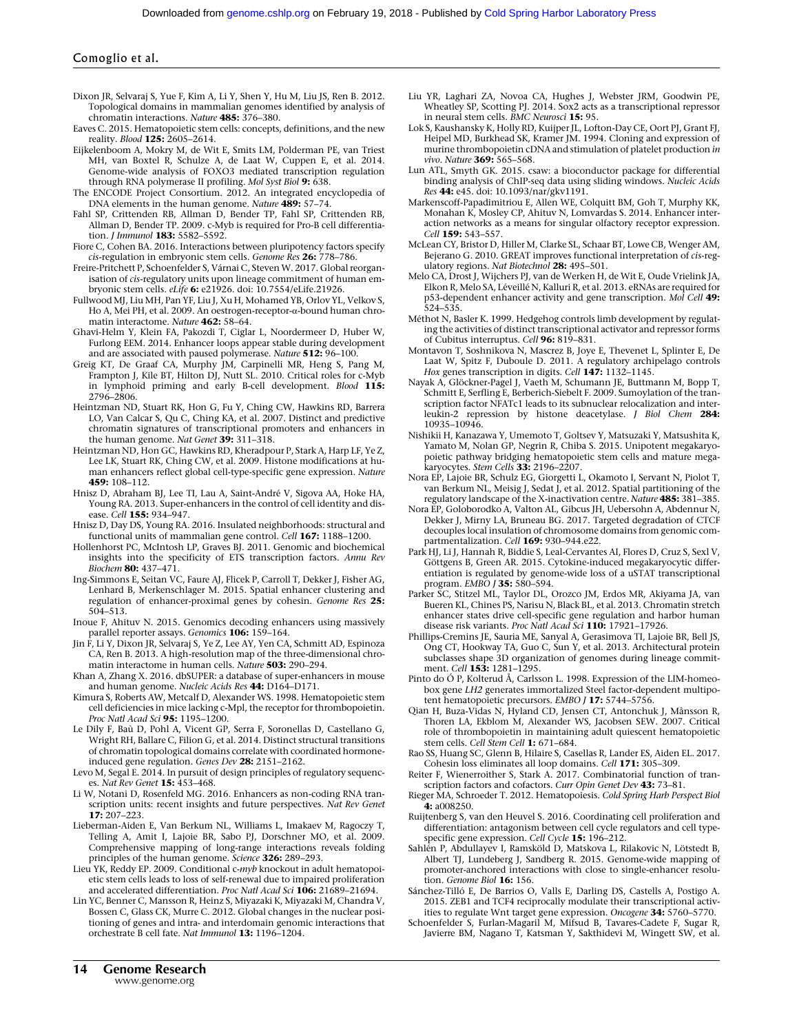- Dixon JR, Selvaraj S, Yue F, Kim A, Li Y, Shen Y, Hu M, Liu JS, Ren B. 2012. Topological domains in mammalian genomes identified by analysis of chromatin interactions. Nature 485: 376–380.
- Eaves C. 2015. Hematopoietic stem cells: concepts, definitions, and the new reality. *Blood* **125:** 2605–2614.
- Eijkelenboom A, Mokry M, de Wit E, Smits LM, Polderman PE, van Triest MH, van Boxtel R, Schulze A, de Laat W, Cuppen E, et al. 2014. Genome-wide analysis of FOXO3 mediated transcription regulation through RNA polymerase II profiling. Mol Syst Biol 9: 638.
- The ENCODE Project Consortium. 2012. An integrated encyclopedia of DNA elements in the human genome. Nature 489: 57-74.
- Fahl SP, Crittenden RB, Allman D, Bender TP, Fahl SP, Crittenden RB, Allman D, Bender TP. 2009. c-Myb is required for Pro-B cell differentiation. *I Immunol* **183:** 5582-5592.
- Fiore C, Cohen BA. 2016. Interactions between pluripotency factors specify cis-regulation in embryonic stem cells. Genome Res 26: 778–786.
- Freire-Pritchett P, Schoenfelder S, Várnai C, Steven W. 2017. Global reorganisation of cis-regulatory units upon lineage commitment of human embryonic stem cells. eLife 6: e21926. doi: 10.7554/eLife.21926.
- Fullwood MJ, Liu MH, Pan YF, Liu J, Xu H, Mohamed YB, Orlov YL, Velkov S, Ho A, Mei PH, et al. 2009. An oestrogen-receptor-α-bound human chromatin interactome. Nature 462: 58–64.
- Ghavi-Helm Y, Klein FA, Pakozdi T, Ciglar L, Noordermeer D, Huber W, Furlong EEM. 2014. Enhancer loops appear stable during development and are associated with paused polymerase. Nature 512: 96-100.
- Greig KT, De Graaf CA, Murphy JM, Carpinelli MR, Heng S, Pang M, Frampton J, Kile BT, Hilton DJ, Nutt SL. 2010. Critical roles for c-Myb in lymphoid priming and early B-cell development. Blood 115: 2796–2806.
- Heintzman ND, Stuart RK, Hon G, Fu Y, Ching CW, Hawkins RD, Barrera LO, Van Calcar S, Qu C, Ching KA, et al. 2007. Distinct and predictive chromatin signatures of transcriptional promoters and enhancers in the human genome. Nat Genet 39: 311-318.
- Heintzman ND, Hon GC, Hawkins RD, Kheradpour P, Stark A, Harp LF, Ye Z, Lee LK, Stuart RK, Ching CW, et al. 2009. Histone modifications at human enhancers reflect global cell-type-specific gene expression. Nature 459: 108–112.
- Hnisz D, Abraham BJ, Lee TI, Lau A, Saint-André V, Sigova AA, Hoke HA, Young RA. 2013. Super-enhancers in the control of cell identity and disease. Cell 155: 934-947.
- Hnisz D, Day DS, Young RA. 2016. Insulated neighborhoods: structural and functional units of mammalian gene control. Cell 167: 1188–1200.
- Hollenhorst PC, McIntosh LP, Graves BJ. 2011. Genomic and biochemical insights into the specificity of ETS transcription factors. Annu Rev Biochem 80: 437–471.
- Ing-Simmons E, Seitan VC, Faure AJ, Flicek P, Carroll T, Dekker J, Fisher AG, Lenhard B, Merkenschlager M. 2015. Spatial enhancer clustering and regulation of enhancer-proximal genes by cohesin. Genome Res 25: 504–513.
- Inoue F, Ahituv N. 2015. Genomics decoding enhancers using massively parallel reporter assays. Genomics 106: 159-164.
- Jin F, Li Y, Dixon JR, Selvaraj S, Ye Z, Lee AY, Yen CA, Schmitt AD, Espinoza CA, Ren B. 2013. A high-resolution map of the three-dimensional chromatin interactome in human cells. Nature 503: 290–294.
- Khan A, Zhang X. 2016. dbSUPER: a database of super-enhancers in mouse and human genome. Nucleic Acids Res 44: D164–D171.
- Kimura S, Roberts AW, Metcalf D, Alexander WS. 1998. Hematopoietic stem cell deficiencies in mice lacking c-Mpl, the receptor for thrombopoietin. Proc Natl Acad Sci 95: 1195–1200.
- Le Dily F, Baù D, Pohl A, Vicent GP, Serra F, Soronellas D, Castellano G, Wright RH, Ballare C, Filion G, et al. 2014. Distinct structural transitions of chromatin topological domains correlate with coordinated hormoneinduced gene regulation. Genes Dev 28: 2151–2162.
- Levo M, Segal E. 2014. In pursuit of design principles of regulatory sequences. Nat Rev Genet 15: 453–468.
- Li W, Notani D, Rosenfeld MG. 2016. Enhancers as non-coding RNA transcription units: recent insights and future perspectives. Nat Rev Genet 17: 207–223.
- Lieberman-Aiden E, Van Berkum NL, Williams L, Imakaev M, Ragoczy T, Telling A, Amit I, Lajoie BR, Sabo PJ, Dorschner MO, et al. 2009. Comprehensive mapping of long-range interactions reveals folding principles of the human genome. Science 326: 289–293.
- Lieu YK, Reddy EP. 2009. Conditional c-myb knockout in adult hematopoietic stem cells leads to loss of self-renewal due to impaired proliferation and accelerated differentiation. Proc Natl Acad Sci 106: 21689–21694.
- Lin YC, Benner C, Mansson R, Heinz S, Miyazaki K, Miyazaki M, Chandra V, Bossen C, Glass CK, Murre C. 2012. Global changes in the nuclear positioning of genes and intra- and interdomain genomic interactions that orchestrate B cell fate. Nat Immunol 13: 1196–1204.
- Liu YR, Laghari ZA, Novoa CA, Hughes J, Webster JRM, Goodwin PE, Wheatley SP, Scotting PJ. 2014. Sox2 acts as a transcriptional repressor in neural stem cells. **BMC Neurosci** 15: 95.
- Lok S, Kaushansky K, Holly RD, Kuijper JL, Lofton-Day CE, Oort PJ, Grant FJ, Heipel MD, Burkhead SK, Kramer JM. 1994. Cloning and expression of murine thrombopoietin cDNA and stimulation of platelet production in vivo. Nature 369: 565–568.
- Lun ATL, Smyth GK. 2015. csaw: a bioconductor package for differential binding analysis of ChIP-seq data using sliding windows. Nucleic Acids Res 44: e45. doi: 10.1093/nar/gkv1191.
- Markenscoff-Papadimitriou E, Allen WE, Colquitt BM, Goh T, Murphy KK, Monahan K, Mosley CP, Ahituv N, Lomvardas S. 2014. Enhancer interaction networks as a means for singular olfactory receptor expression. Cell 159: 543-557
- McLean CY, Bristor D, Hiller M, Clarke SL, Schaar BT, Lowe CB, Wenger AM, Bejerano G. 2010. GREAT improves functional interpretation of cis-regulatory regions. Nat Biotechnol 28: 495–501.
- Melo CA, Drost J, Wijchers PJ, van de Werken H, de Wit E, Oude Vrielink JA, Elkon R, Melo SA, Léveillé N, Kalluri R, et al. 2013. eRNAs are required for p53-dependent enhancer activity and gene transcription. Mol Cell 49: 524–535.
- Méthot N, Basler K. 1999. Hedgehog controls limb development by regulating the activities of distinct transcriptional activator and repressor forms of Cubitus interruptus. Cell 96: 819-831.
- Montavon T, Soshnikova N, Mascrez B, Joye E, Thevenet L, Splinter E, De Laat W, Spitz F, Duboule D. 2011. A regulatory archipelago controls Hox genes transcription in digits. Cell 147: 1132-1145.
- Nayak A, Glöckner-Pagel J, Vaeth M, Schumann JE, Buttmann M, Bopp T, Schmitt E, Serfling E, Berberich-Siebelt F. 2009. Sumoylation of the transcription factor NFATc1 leads to its subnuclear relocalization and interleukin-2 repression by histone deacetylase. J Biol Chem 284: 10935–10946.
- Nishikii H, Kanazawa Y, Umemoto T, Goltsev Y, Matsuzaki Y, Matsushita K, Yamato M, Nolan GP, Negrin R, Chiba S. 2015. Unipotent megakaryopoietic pathway bridging hematopoietic stem cells and mature mega-<br>karyocytes. S*tem Cells* **33:** 2196–2207.
- Nora EP, Lajoie BR, Schulz EG, Giorgetti L, Okamoto I, Servant N, Piolot T, van Berkum NL, Meisig J, Sedat J, et al. 2012. Spatial partitioning of the regulatory landscape of the X-inactivation centre. Nature 485: 381–385.
- Nora EP, Goloborodko A, Valton AL, Gibcus JH, Uebersohn A, Abdennur N, Dekker J, Mirny LA, Bruneau BG. 2017. Targeted degradation of CTCF decouples local insulation of chromosome domains from genomic compartmentalization. Cell 169: 930-944.e22.
- Park HJ, Li J, Hannah R, Biddie S, Leal-Cervantes AI, Flores D, Cruz S, Sexl V, Göttgens B, Green AR. 2015. Cytokine-induced megakaryocytic differentiation is regulated by genome-wide loss of a uSTAT transcriptional<br>program. EMBO J **35:** 580–594.
- Parker SC, Stitzel ML, Taylor DL, Orozco JM, Erdos MR, Akiyama JA, van Bueren KL, Chines PS, Narisu N, Black BL, et al. 2013. Chromatin stretch enhancer states drive cell-specific gene regulation and harbor human disease risk variants. Proc Natl Acad Sci 110: 17921-17926.
- Phillips-Cremins JE, Sauria ME, Sanyal A, Gerasimova TI, Lajoie BR, Bell JS, Ong CT, Hookway TA, Guo C, Sun Y, et al. 2013. Architectural protein subclasses shape 3D organization of genomes during lineage commitment. Cell 153: 1281-1295.
- Pinto do Ó P, Kolterud Å, Carlsson L. 1998. Expression of the LIM-homeobox gene LH2 generates immortalized Steel factor-dependent multipotent hematopoietic precursors. EMBO J 17: 5744-5756.
- Qian H, Buza-Vidas N, Hyland CD, Jensen CT, Antonchuk J, Månsson R, Thoren LA, Ekblom M, Alexander WS, Jacobsen SEW. 2007. Critical role of thrombopoietin in maintaining adult quiescent hematopoietic stem cells. Cell Stem Cell 1: 671-684.
- Rao SS, Huang SC, Glenn B, Hilaire S, Casellas R, Lander ES, Aiden EL. 2017. Cohesin loss eliminates all loop domains. Cell 171: 305–309.
- Reiter F, Wienerroither S, Stark A. 2017. Combinatorial function of transcription factors and cofactors. Curr Opin Genet Dev 43: 73-81.
- Rieger MA, Schroeder T. 2012. Hematopoiesis. Cold Spring Harb Perspect Biol 4: a008250.
- Ruijtenberg S, van den Heuvel S. 2016. Coordinating cell proliferation and differentiation: antagonism between cell cycle regulators and cell typespecific gene expression. Cell Cycle 15: 196-212.
- Sahlén P, Abdullayev I, Ramsköld D, Matskova L, Rilakovic N, Lötstedt B, Albert TJ, Lundeberg J, Sandberg R. 2015. Genome-wide mapping of promoter-anchored interactions with close to single-enhancer resolution. Genome Biol 16: 156.
- Sánchez-Tilló E, De Barrios O, Valls E, Darling DS, Castells A, Postigo A. 2015. ZEB1 and TCF4 reciprocally modulate their transcriptional activities to regulate Wnt target gene expression. Oncogene 34: 5760–5770.
- Schoenfelder S, Furlan-Magaril M, Mifsud B, Tavares-Cadete F, Sugar R, Javierre BM, Nagano T, Katsman Y, Sakthidevi M, Wingett SW, et al.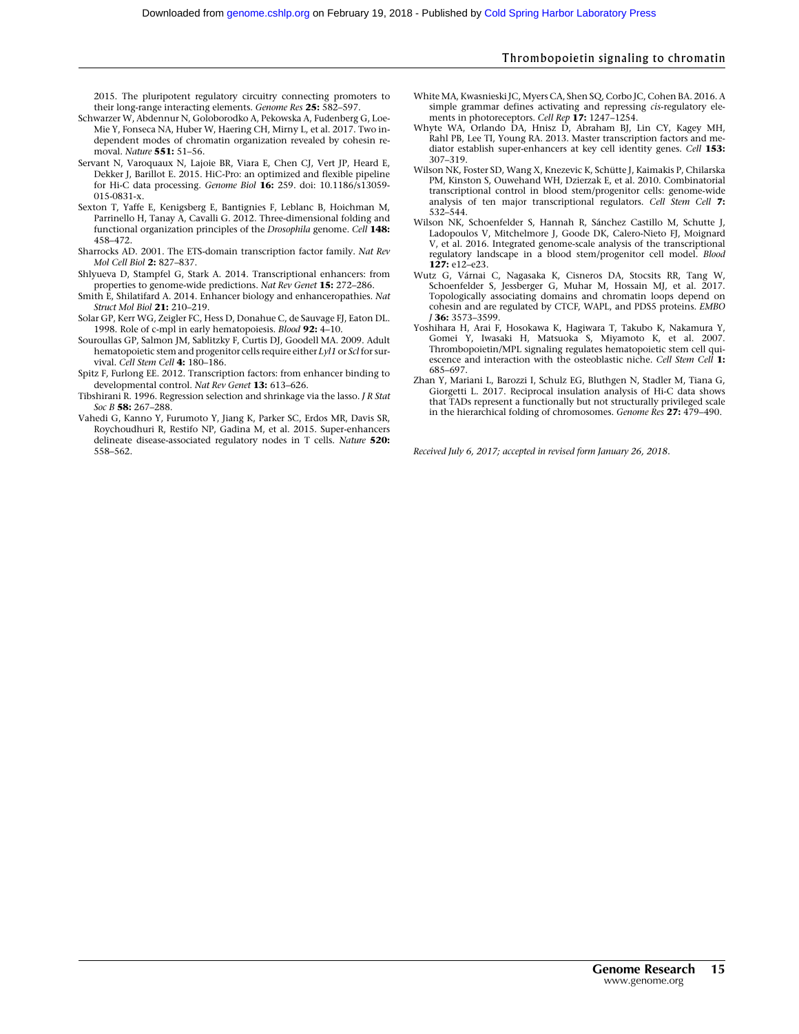2015. The pluripotent regulatory circuitry connecting promoters to their long-range interacting elements. Genome Res 25: 582–597.

- Schwarzer W, Abdennur N, Goloborodko A, Pekowska A, Fudenberg G, Loe-Mie Y, Fonseca NA, Huber W, Haering CH, Mirny L, et al. 2017. Two independent modes of chromatin organization revealed by cohesin removal. Nature 551: 51–56.
- Servant N, Varoquaux N, Lajoie BR, Viara E, Chen CJ, Vert JP, Heard E, Dekker J, Barillot E. 2015. HiC-Pro: an optimized and flexible pipeline for Hi-C data processing. Genome Biol 16: 259. doi: 10.1186/s13059- 015-0831-x.
- Sexton T, Yaffe E, Kenigsberg E, Bantignies F, Leblanc B, Hoichman M, Parrinello H, Tanay A, Cavalli G. 2012. Three-dimensional folding and functional organization principles of the Drosophila genome. Cell 148: 458–472.
- Sharrocks AD. 2001. The ETS-domain transcription factor family. Nat Rev Mol Cell Biol 2: 827–837.
- Shlyueva D, Stampfel G, Stark A. 2014. Transcriptional enhancers: from properties to genome-wide predictions. Nat Rev Genet 15: 272–286.
- Smith E, Shilatifard A. 2014. Enhancer biology and enhanceropathies. Nat Struct Mol Biol 21: 210–219.
- Solar GP, Kerr WG, Zeigler FC, Hess D, Donahue C, de Sauvage FJ, Eaton DL. 1998. Role of c-mpl in early hematopoiesis. Blood 92: 4–10.
- Souroullas GP, Salmon JM, Sablitzky F, Curtis DJ, Goodell MA. 2009. Adult hematopoietic stem and progenitor cells require either Lyl1 or Scl for survival. Cell Stem Cell 4: 180-186.
- Spitz F, Furlong EE. 2012. Transcription factors: from enhancer binding to developmental control. Nat Rev Genet 13: 613–626.
- Tibshirani R. 1996. Regression selection and shrinkage via the lasso. J R Stat Soc B 58: 267-288.
- Vahedi G, Kanno Y, Furumoto Y, Jiang K, Parker SC, Erdos MR, Davis SR, Roychoudhuri R, Restifo NP, Gadina M, et al. 2015. Super-enhancers delineate disease-associated regulatory nodes in T cells. Nature 520: 558–562.
- White MA, Kwasnieski JC, Myers CA, Shen SQ, Corbo JC, Cohen BA. 2016. A simple grammar defines activating and repressing *cis-regulatory* elements in photoreceptors. Cell Rep 17: 1247-1254.
- Whyte WA, Orlando DA, Hnisz D, Abraham BJ, Lin CY, Kagey MH, Rahl PB, Lee TI, Young RA. 2013. Master transcription factors and me-<br>diator establish super-enhancers at key cell identity genes. *Cell* 1**53:** 307–319.
- Wilson NK, Foster SD, Wang X, Knezevic K, Schütte J, Kaimakis P, Chilarska PM, Kinston S, Ouwehand WH, Dzierzak E, et al. 2010. Combinatorial transcriptional control in blood stem/progenitor cells: genome-wide analysis of ten major transcriptional regulators. Cell Stem Cell 7: 532–544.
- Wilson NK, Schoenfelder S, Hannah R, Sánchez Castillo M, Schutte J, Ladopoulos V, Mitchelmore J, Goode DK, Calero-Nieto FJ, Moignard V, et al. 2016. Integrated genome-scale analysis of the transcriptional regulatory landscape in a blood stem/progenitor cell model. Blood 127: e12-e23.
- Wutz G, Várnai C, Nagasaka K, Cisneros DA, Stocsits RR, Tang W, Schoenfelder S, Jessberger G, Muhar M, Hossain MJ, et al. 2017. Topologically associating domains and chromatin loops depend on cohesin and are regulated by CTCF, WAPL, and PDS5 proteins. EMBO J 36: 3573–3599.
- Yoshihara H, Arai F, Hosokawa K, Hagiwara T, Takubo K, Nakamura Y, Gomei Y, Iwasaki H, Matsuoka S, Miyamoto K, et al. 2007. Thrombopoietin/MPL signaling regulates hematopoietic stem cell quiescence and interaction with the osteoblastic niche. Cell Stem Cell 1: 685–697.
- Zhan Y, Mariani L, Barozzi I, Schulz EG, Bluthgen N, Stadler M, Tiana G, Giorgetti L. 2017. Reciprocal insulation analysis of Hi-C data shows that TADs represent a functionally but not structurally privileged scale in the hierarchical folding of chromosomes. Genome Res 27: 479–490.

Received July 6, 2017; accepted in revised form January 26, 2018.